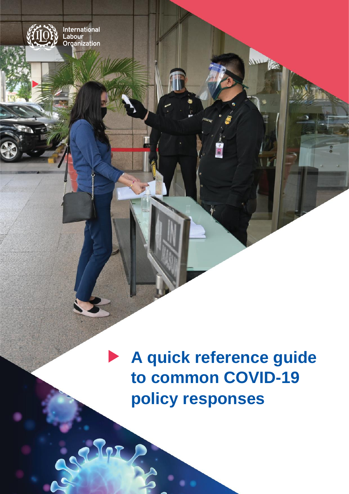

Repo

 $\frac{1}{2}$ 

E

**A quick reference guide to common COVID-19 policy responses**

NU Ta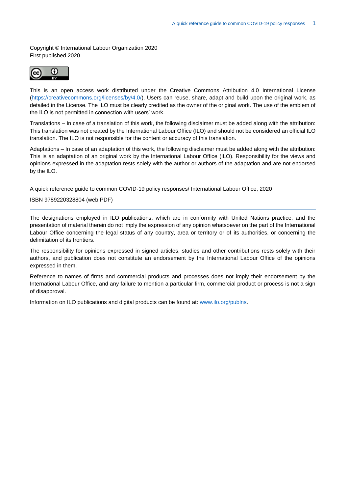Copyright © International Labour Organization 2020 First published 2020



This is an open access work distributed under the Creative Commons Attribution 4.0 International License (https://creativecommons.org/licenses/by/4.0/). Users can reuse, share, adapt and build upon the original work, as detailed in the License. The ILO must be clearly credited as the owner of the original work. The use of the emblem of the ILO is not permitted in connection with users' work.

Translations – In case of a translation of this work, the following disclaimer must be added along with the attribution: This translation was not created by the International Labour Office (ILO) and should not be considered an official ILO translation. The ILO is not responsible for the content or accuracy of this translation.

Adaptations – In case of an adaptation of this work, the following disclaimer must be added along with the attribution: This is an adaptation of an original work by the International Labour Office (ILO). Responsibility for the views and opinions expressed in the adaptation rests solely with the author or authors of the adaptation and are not endorsed by the ILO.

A quick reference guide to common COVID-19 policy responses/ International Labour Office, 2020

#### ISBN 9789220328804 (web PDF)

The designations employed in ILO publications, which are in conformity with United Nations practice, and the presentation of material therein do not imply the expression of any opinion whatsoever on the part of the International Labour Office concerning the legal status of any country, area or territory or of its authorities, or concerning the delimitation of its frontiers.

The responsibility for opinions expressed in signed articles, studies and other contributions rests solely with their authors, and publication does not constitute an endorsement by the International Labour Office of the opinions expressed in them.

Reference to names of firms and commercial products and processes does not imply their endorsement by the International Labour Office, and any failure to mention a particular firm, commercial product or process is not a sign of disapproval.

Information on ILO publications and digital products can be found at: [www.ilo.org/publns.](http://www.ilo.org/publns)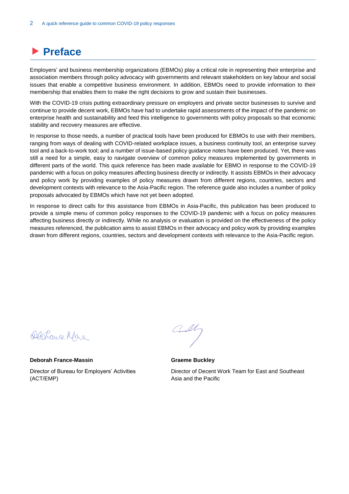# **Preface**

Employers' and business membership organizations (EBMOs) play a critical role in representing their enterprise and association members through policy advocacy with governments and relevant stakeholders on key labour and social issues that enable a competitive business environment. In addition, EBMOs need to provide information to their membership that enables them to make the right decisions to grow and sustain their businesses.

With the COVID-19 crisis putting extraordinary pressure on employers and private sector businesses to survive and continue to provide decent work, EBMOs have had to undertake rapid assessments of the impact of the pandemic on enterprise health and sustainability and feed this intelligence to governments with policy proposals so that economic stability and recovery measures are effective.

In response to those needs, a number of practical tools have been produced for EBMOs to use with their members, ranging from ways of dealing with COVID-related workplace issues, a business continuity tool, an enterprise survey tool and a back-to-work tool; and a number of issue-based policy guidance notes have been produced. Yet, there was still a need for a simple, easy to navigate overview of common policy measures implemented by governments in different parts of the world. This quick reference has been made available for EBMO in response to the COVID-19 pandemic with a focus on policy measures affecting business directly or indirectly. It assists EBMOs in their advocacy and policy work by providing examples of policy measures drawn from different regions, countries, sectors and development contexts with relevance to the Asia-Pacific region. The reference guide also includes a number of policy proposals advocated by EBMOs which have not yet been adopted.

In response to direct calls for this assistance from EBMOs in Asia-Pacific, this publication has been produced to provide a simple menu of common policy responses to the COVID-19 pandemic with a focus on policy measures affecting business directly or indirectly. While no analysis or evaluation is provided on the effectiveness of the policy measures referenced, the publication aims to assist EBMOs in their advocacy and policy work by providing examples drawn from different regions, countries, sectors and development contexts with relevance to the Asia-Pacific region.

Dartrayce Mare

**Deborah France-Massin** Director of Bureau for Employers' Activities (ACT/EMP)

**Graeme Buckley**

Director of Decent Work Team for East and Southeast Asia and the Pacific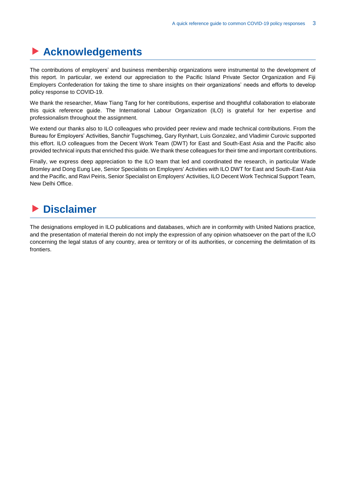# **Acknowledgements**

The contributions of employers' and business membership organizations were instrumental to the development of this report. In particular, we extend our appreciation to the Pacific Island Private Sector Organization and Fiji Employers Confederation for taking the time to share insights on their organizations' needs and efforts to develop policy response to COVID-19.

We thank the researcher, Miaw Tiang Tang for her contributions, expertise and thoughtful collaboration to elaborate this quick reference guide. The International Labour Organization (ILO) is grateful for her expertise and professionalism throughout the assignment.

We extend our thanks also to ILO colleagues who provided peer review and made technical contributions. From the Bureau for Employers' Activities, Sanchir Tugschimeg, Gary Rynhart, Luis Gonzalez, and Vladimir Curovic supported this effort. ILO colleagues from the Decent Work Team (DWT) for East and South-East Asia and the Pacific also provided technical inputs that enriched this guide. We thank these colleagues for their time and important contributions.

Finally, we express deep appreciation to the ILO team that led and coordinated the research, in particular Wade Bromley and Dong Eung Lee, Senior Specialists on Employers' Activities with ILO DWT for East and South-East Asia and the Pacific, and Ravi Peiris, Senior Specialist on Employers' Activities, ILO Decent Work Technical Support Team, New Delhi Office.

# **Disclaimer**

The designations employed in ILO publications and databases, which are in conformity with United Nations practice, and the presentation of material therein do not imply the expression of any opinion whatsoever on the part of the ILO concerning the legal status of any country, area or territory or of its authorities, or concerning the delimitation of its frontiers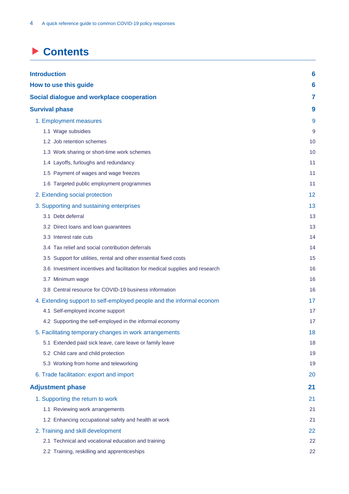# **Contents**

| <b>Introduction</b>                                                          | 6  |
|------------------------------------------------------------------------------|----|
| How to use this guide                                                        | 6  |
| Social dialogue and workplace cooperation                                    | 7  |
| <b>Survival phase</b>                                                        | 9  |
| 1. Employment measures                                                       | 9  |
| 1.1 Wage subsidies                                                           | 9  |
| 1.2 Job retention schemes                                                    | 10 |
| 1.3 Work sharing or short-time work schemes                                  | 10 |
| 1.4 Layoffs, furloughs and redundancy                                        | 11 |
| 1.5 Payment of wages and wage freezes                                        | 11 |
| 1.6 Targeted public employment programmes                                    | 11 |
| 2. Extending social protection                                               | 12 |
| 3. Supporting and sustaining enterprises                                     | 13 |
| 3.1 Debt deferral                                                            | 13 |
| 3.2 Direct loans and loan guarantees                                         | 13 |
| 3.3 Interest rate cuts                                                       | 14 |
| 3.4 Tax relief and social contribution deferrals                             | 14 |
| 3.5 Support for utilities, rental and other essential fixed costs            | 15 |
| 3.6 Investment incentives and facilitation for medical supplies and research | 16 |
| 3.7 Minimum wage                                                             | 16 |
| 3.8 Central resource for COVID-19 business information                       | 16 |
| 4. Extending support to self-employed people and the informal econom         | 17 |
| 4.1 Self-employed income support                                             | 17 |
| 4.2 Supporting the self-employed in the informal economy                     | 17 |
| 5. Facilitating temporary changes in work arrangements                       | 18 |
| 5.1 Extended paid sick leave, care leave or family leave                     | 18 |
| 5.2 Child care and child protection                                          | 19 |
| 5.3 Working from home and teleworking                                        | 19 |
| 6. Trade facilitation: export and import                                     | 20 |
| <b>Adjustment phase</b>                                                      | 21 |
| 1. Supporting the return to work                                             | 21 |
| 1.1 Reviewing work arrangements                                              | 21 |
| 1.2 Enhancing occupational safety and health at work                         | 21 |
| 2. Training and skill development                                            | 22 |
| 2.1 Technical and vocational education and training                          | 22 |
| 2.2 Training, reskilling and apprenticeships                                 | 22 |
|                                                                              |    |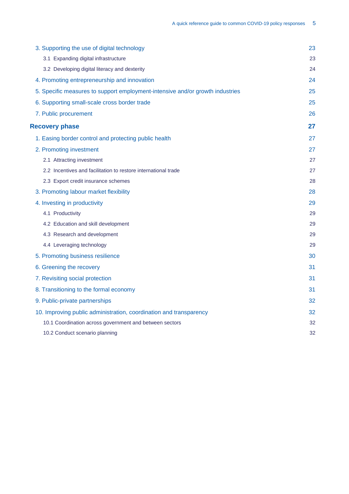| 3. Supporting the use of digital technology                                   | 23 |
|-------------------------------------------------------------------------------|----|
| 3.1 Expanding digital infrastructure                                          | 23 |
| 3.2 Developing digital literacy and dexterity                                 | 24 |
| 4. Promoting entrepreneurship and innovation                                  | 24 |
| 5. Specific measures to support employment-intensive and/or growth industries | 25 |
| 6. Supporting small-scale cross border trade                                  | 25 |
| 7. Public procurement                                                         | 26 |
| <b>Recovery phase</b>                                                         | 27 |
| 1. Easing border control and protecting public health                         | 27 |
| 2. Promoting investment                                                       | 27 |
| 2.1 Attracting investment                                                     | 27 |
| 2.2 Incentives and facilitation to restore international trade                | 27 |
| 2.3 Export credit insurance schemes                                           | 28 |
| 3. Promoting labour market flexibility                                        | 28 |
| 4. Investing in productivity                                                  | 29 |
| 4.1 Productivity                                                              | 2g |
| 4.2 Education and skill development                                           | 29 |
| 4.3 Research and development                                                  | 29 |
| 4.4 Leveraging technology                                                     | 29 |
| 5. Promoting business resilience                                              | 30 |
| 6. Greening the recovery                                                      | 31 |
| 7. Revisiting social protection                                               | 31 |
| 8. Transitioning to the formal economy                                        | 31 |
| 9. Public-private partnerships                                                | 32 |
| 10. Improving public administration, coordination and transparency            | 32 |
| 10.1 Coordination across government and between sectors                       | 32 |
| 10.2 Conduct scenario planning                                                | 32 |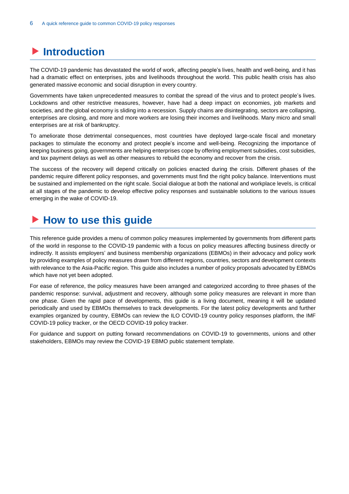# <span id="page-6-0"></span>**Introduction**

The COVID-19 pandemic has devastated the world of work, affecting people's lives, health and well-being, and it has had a dramatic effect on enterprises, jobs and livelihoods throughout the world. This public health crisis has also generated massive economic and social disruption in every country.

Governments have taken unprecedented measures to combat the spread of the virus and to protect people's lives. Lockdowns and other restrictive measures, however, have had a deep impact on economies, job markets and societies, and the global economy is sliding into a recession. Supply chains are disintegrating, sectors are collapsing, enterprises are closing, and more and more workers are losing their incomes and livelihoods. Many micro and small enterprises are at risk of bankruptcy.

To ameliorate those detrimental consequences, most countries have deployed large-scale fiscal and monetary packages to stimulate the economy and protect people's income and well-being. Recognizing the importance of keeping business going, governments are helping enterprises cope by offering employment subsidies, cost subsidies, and tax payment delays as well as other measures to rebuild the economy and recover from the crisis.

The success of the recovery will depend critically on policies enacted during the crisis. Different phases of the pandemic require different policy responses, and governments must find the right policy balance. Interventions must be sustained and implemented on the right scale. Social dialogue at both the national and workplace levels, is critical at all stages of the pandemic to develop effective policy responses and sustainable solutions to the various issues emerging in the wake of COVID-19.

# <span id="page-6-1"></span>▶ How to use this guide

This reference guide provides a menu of common policy measures implemented by governments from different parts of the world in response to the COVID-19 pandemic with a focus on policy measures affecting business directly or indirectly. It assists employers' and business membership organizations (EBMOs) in their advocacy and policy work by providing examples of policy measures drawn from different regions, countries, sectors and development contexts with relevance to the Asia-Pacific region. This guide also includes a number of policy proposals advocated by EBMOs which have not yet been adopted.

For ease of reference, the policy measures have been arranged and categorized according to three phases of the pandemic response: survival, adjustment and recovery, although some policy measures are relevant in more than one phase. Given the rapid pace of developments, this guide is a living document, meaning it will be updated periodically and used by EBMOs themselves to track developments. For the latest policy developments and further examples organized by country, EBMOs can review the [ILO COVID-19 country policy responses](https://www.ilo.org/global/topics/coronavirus/country-responses/lang--en/index.htm) platform, the [IMF](https://www.imf.org/en/Topics/imf-and-covid19/Policy-Responses-to-COVID-19)  [COVID-19 policy tracker,](https://www.imf.org/en/Topics/imf-and-covid19/Policy-Responses-to-COVID-19) or the [OECD COVID-19 policy tracker.](https://www.oecd.org/coronavirus/country-policy-tracker/)

For guidance and support on putting forward recommendations on COVID-19 to governments, unions and other stakeholders, EBMOs may review the COVID-19 [EBMO public statement template.](https://www.ilo.org/actemp/publications/WCMS_740218/lang--en/index.htm)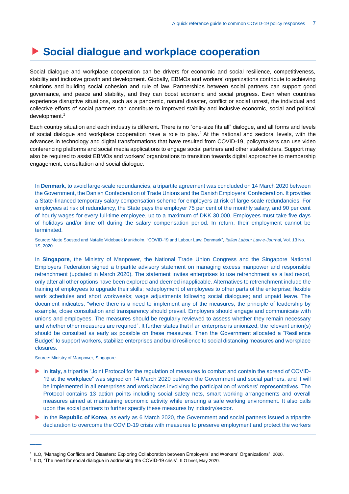# <span id="page-7-0"></span>**Social dialogue and workplace cooperation**

Social dialogue and workplace cooperation can be drivers for economic and social resilience, competitiveness, stability and inclusive growth and development. Globally, EBMOs and workers' organizations contribute to achieving solutions and building social cohesion and rule of law. Partnerships between social partners can support good governance, and peace and stability, and they can boost economic and social progress. Even when countries experience disruptive situations, such as a pandemic, natural disaster, conflict or social unrest, the individual and collective efforts of social partners can contribute to improved stability and inclusive economic, social and political development. 1

Each country situation and each industry is different. There is no "one-size fits all" dialogue, and all forms and levels of social dialogue and workplace cooperation have a role to play. <sup>2</sup> At the national and sectoral levels, with the advances in technology and digital transformations that have resulted from COVID-19, policymakers can use video conferencing platforms and social media applications to engage social partners and other stakeholders. Support may also be required to assist EBMOs and workers' organizations to transition towards digital approaches to membership engagement, consultation and social dialogue.

In **Denmark**, to avoid large-scale redundancies, a tripartite agreement was concluded on 14 March 2020 between the Government, the Danish Confederation of Trade Unions and the Danish Employers' Confederation. It provides a State-financed temporary salary compensation scheme for employers at risk of large-scale redundancies. For employees at risk of redundancy, the State pays the employer 75 per cent of the monthly salary, and 90 per cent of hourly wages for every full-time employee, up to a maximum of DKK 30,000. Employees must take five days of holidays and/or time off during the salary compensation period. In return, their employment cannot be terminated.

Source: Mette Soested and Natalie Videbaek Munkholm[, "COVID-19 and Labour Law: Denmark",](https://illej.unibo.it/article/view/10803) *Italian Labour Law e-Journal,* Vol. 13 No. 1S, 2020.

In **Singapore**, the Ministry of Manpower, the National Trade Union Congress and the Singapore National Employers Federation signed a tripartite advisory statement on managing excess manpower and responsible retrenchment (updated in March 2020). The statement invites enterprises to use retrenchment as a last resort, only after all other options have been explored and deemed inapplicable. Alternatives to retrenchment include the training of employees to upgrade their skills; redeployment of employees to other parts of the enterprise; flexible work schedules and short workweeks; wage adjustments following social dialogues; and unpaid leave. The document indicates, "where there is a need to implement any of the measures, the principle of leadership by example, close consultation and transparency should prevail. Employers should engage and communicate with unions and employees. The measures should be regularly reviewed to assess whether they remain necessary and whether other measures are required". It further states that if an enterprise is unionized, the relevant union(s) should be consulted as early as possible on these measures. Then the Government allocated a "Resilience Budget" to support workers, stabilize enterprises and build resilience to social distancing measures and workplace closures.

Source: Ministry of Manpower, Singapore.

- In **Italy,** a tripartite "Joint Protocol for the regulation of measures to combat and contain the spread of COVID-19 at the workplace" was signed on 14 March 2020 between the Government and social partners, and it will be implemented in all enterprises and workplaces involving the participation of workers' representatives. The Protocol contains 13 action points including social safety nets, smart working arrangements and overall measures aimed at maintaining economic activity while ensuring a safe working environment. It also calls upon the social partners to further specify these measures by industry/sector.
- In the **Republic of Korea**, as early as 6 March 2020, the Government and social partners issued a tripartite declaration to overcome the COVID-19 crisis with measures to preserve employment and protect the workers

<sup>1</sup> ILO, "Managing Conflicts and Disasters: [Exploring Collaboration between Employers' and Workers' Organizations"](https://www.ilo.org/global/publications/books/WCMS_741421/lang--en/index.htm), 2020.

<sup>&</sup>lt;sup>2</sup> ILO, ["The need for social dialogue in addressing the COVID-19 crisis"](https://www.ilo.org/global/about-the-ilo/how-the-ilo-works/departments-and-offices/governance/WCMS_743640/lang--en/index.htm), ILO brief, May 2020.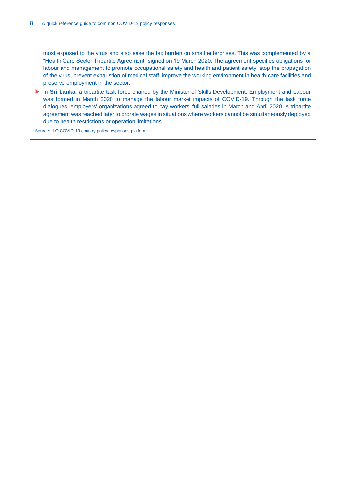most exposed to the virus and also ease the tax burden on small enterprises. This was complemented by a "Health Care Sector Tripartite Agreement" signed on 19 March 2020. The agreement specifies obligations for labour and management to promote occupational safety and health and patient safety, stop the propagation of the virus, prevent exhaustion of medical staff, improve the working environment in health-care facilities and preserve employment in the sector.

In **Sri Lanka**, a tripartite task force chaired by the Minister of Skills Development, Employment and Labour was formed in March 2020 to manage the labour market impacts of COVID-19. Through the task force dialogues, employers' organizations agreed to pay workers' full salaries in March and April 2020. A tripartite agreement was reached later to prorate wages in situations where workers cannot be simultaneously deployed due to health restrictions or operation limitations.

Source[: ILO COVID-19 country policy responses](https://www.ilo.org/global/topics/coronavirus/country-responses/lang--en/index.htm) platform.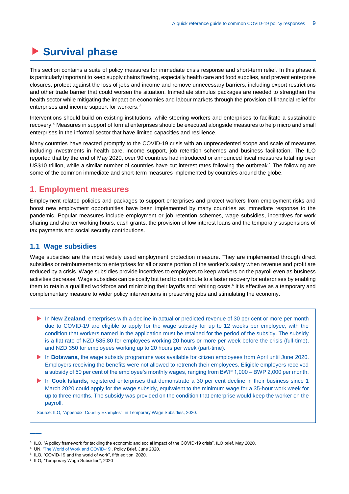# <span id="page-9-0"></span>**Survival phase**

This section contains a suite of policy measures for immediate crisis response and short-term relief. In this phase it is particularly important to keep supply chains flowing, especially health care and food supplies, and prevent enterprise closures, protect against the loss of jobs and income and remove unnecessary barriers, including export restrictions and other trade barrier that could worsen the situation. Immediate stimulus packages are needed to strengthen the health sector while mitigating the impact on economies and labour markets through the provision of financial relief for enterprises and income support for workers.<sup>3</sup>

Interventions should build on existing institutions, while steering workers and enterprises to facilitate a sustainable recovery. <sup>4</sup> Measures in support of formal enterprises should be executed alongside measures to help micro and small enterprises in the informal sector that have limited capacities and resilience.

Many countries have reacted promptly to the COVID-19 crisis with an unprecedented scope and scale of measures including investments in health care, income support, job retention schemes and business facilitation. The ILO reported that by the end of May 2020, over 90 countries had introduced or announced fiscal measures totalling over US\$10 trillion, while a similar number of countries have cut interest rates following the outbreak. <sup>5</sup> The following are some of the common immediate and short-term measures implemented by countries around the globe.

# <span id="page-9-1"></span>**1. Employment measures**

Employment related policies and packages to support enterprises and protect workers from employment risks and boost new employment opportunities have been implemented by many countries as immediate response to the pandemic. Popular measures include employment or job retention schemes, wage subsidies, incentives for work sharing and shorter working hours, cash grants, the provision of low interest loans and the temporary suspensions of tax payments and social security contributions.

### <span id="page-9-2"></span>**1.1 Wage subsidies**

Wage subsidies are the most widely used employment protection measure. They are implemented through direct subsidies or reimbursements to enterprises for all or some portion of the worker's salary when revenue and profit are reduced by a crisis. Wage subsidies provide incentives to employers to keep workers on the payroll even as business activities decrease. Wage subsidies can be costly but tend to contribute to a faster recovery for enterprises by enabling them to retain a qualified workforce and minimizing their layoffs and rehiring costs.<sup>6</sup> It is effective as a temporary and complementary measure to wider policy interventions in preserving jobs and stimulating the economy.

- In **New Zealand**, enterprises with a decline in actual or predicted revenue of 30 per cent or more per month due to COVID-19 are eligible to apply for the wage subsidy for up to 12 weeks per employee, with the condition that workers named in the application must be retained for the period of the subsidy. The subsidy is a flat rate of NZD 585.80 for employees working 20 hours or more per week before the crisis (full-time), and NZD 350 for employees working up to 20 hours per week (part-time).
- In **Botswana**, the wage subsidy programme was available for citizen employees from April until June 2020. Employers receiving the benefits were not allowed to retrench their employees. Eligible employers received a subsidy of 50 per cent of the employee's monthly wages, ranging from BWP 1,000 – BWP 2,000 per month.
- In **Cook Islands**, registered enterprises that demonstrate a 30 per cent decline in their business since 1 March 2020 could apply for the wage subsidy, equivalent to the minimum wage for a 35-hour work week for up to three months. The subsidy was provided on the condition that enterprise would keep the worker on the payroll.

Source: ILO, ["Appendix: Country Examples",](https://www.ilo.org/wcmsp5/groups/public/---ed_protect/---protrav/---travail/documents/publication/wcms_745667.pdf) in Temporary Wage Subsidies, 2020.

<sup>3</sup> ILO[, "A policy framework for tackling the economic and social impact of the COVID-19 crisis",](https://www.ilo.org/wcmsp5/groups/public/---dgreports/---dcomm/documents/briefingnote/wcms_745337.pdf) ILO brief, May 2020.

<sup>4</sup> UN, ['The World of Work and COVID-19',](https://www.ilo.org/employment/Informationresources/covid-19/other/WCMS_748323?lang=en) Policy Brief, June 2020.

<sup>5</sup> ILO, "COVID-19 and the world of work", fifth edition, 2020.

<sup>6</sup> ILO[, "Temporary Wage Subsidies",](https://www.ilo.org/global/topics/wages/publications/WCMS_745666/lang--en/index.htm) 2020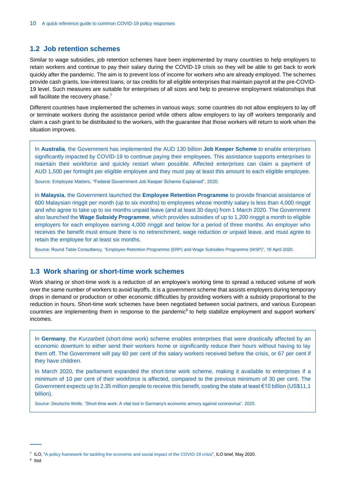## <span id="page-10-0"></span>**1.2 Job retention schemes**

Similar to wage subsidies, job retention schemes have been implemented by many countries to help employers to retain workers and continue to pay their salary during the COVID-19 crisis so they will be able to get back to work quickly after the pandemic. The aim is to prevent loss of income for workers who are already employed. The schemes provide cash grants, low-interest loans, or tax credits for all eligible enterprises that maintain payroll at the pre-COVID-19 level. Such measures are suitable for enterprises of all sizes and help to preserve employment relationships that will facilitate the recovery phase.<sup>7</sup>

Different countries have implemented the schemes in various ways: some countries do not allow employers to lay off or terminate workers during the assistance period while others allow employers to lay off workers temporarily and claim a cash grant to be distributed to the workers, with the guarantee that those workers will return to work when the situation improves.

In **Australia**, the Government has implemented the AUD 130 billion **Job Keeper Scheme** to enable enterprises significantly impacted by COVID-19 to continue paying their employees. This assistance supports enterprises to maintain their workforce and quickly restart when possible. Affected enterprises can claim a payment of AUD 1,500 per fortnight per eligible employee and they must pay at least this amount to each eligible employee.

Source: Employee Matters[, "Federal Government Job Keeper Scheme Explained",](https://www.employeematters.com.au/the-federal-government-jobkeeper-scheme-explained/) 2020.

In **Malaysia**, the Government launched the **Employee Retention Programme** to provide financial assistance of 600 Malaysian ringgit per month (up to six months) to employees whose monthly salary is less than 4,000 ringgit and who agree to take up to six months unpaid leave (and at least 30 days) from 1 March 2020. The Government also launched the **Wage Subsidy Programme**, which provides subsidies of up to 1,200 ringgit a month to eligible employers for each employee earning 4,000 ringgit and below for a period of three months. An employer who receives the benefit must ensure there is no retrenchment, wage reduction or unpaid leave, and must agree to retain the employee for at least six months.

Source: Round Table Consultancy, ["Employee Retention Programme \(ERP\) and Wage Subsidies Programme \(WSP\)"](https://roundtableconsultancy.com/employee-retention-programme-erp-and-wage-subsidy-programme-wsp/), 16 April 2020.

#### <span id="page-10-1"></span>**1.3 Work sharing or short-time work schemes**

Work sharing or short-time work is a reduction of an employee's working time to spread a reduced volume of work over the same number of workers to avoid layoffs. It is a government scheme that assists employers during temporary drops in demand or production or other economic difficulties by providing workers with a subsidy proportional to the reduction in hours. Short-time work schemes have been negotiated between social partners, and various European countries are implementing them in response to the pandemic<sup>8</sup> to help stabilize employment and support workers' incomes.

In **Germany**, the *Kurzarbeit* (short-time work) scheme enables enterprises that were drastically affected by an economic downturn to either send their workers home or significantly reduce their hours without having to lay them off. The Government will pay 60 per cent of the salary workers received before the crisis, or 67 per cent if they have children.

In March 2020, the parliament expanded the short-time work scheme, making it available to enterprises if a minimum of 10 per cent of their workforce is affected, compared to the previous minimum of 30 per cent. The Government expects up to 2.35 million people to receive this benefit, costing the state at least €10 billion (US\$11.1 billion).

<span id="page-10-2"></span>Source: Deutsche Welle[, "Short-time work: A vital tool in Germany's economic armory against coronavirus",](https://www.dw.com/en/short-time-work-a-vital-tool-in-germanys-economic-armory-against-coronavirus/a-52952657) 2020.

<sup>8</sup> Ibid

<sup>&</sup>lt;sup>7</sup> ILO, ["A policy framework for tackling the economic and social impact of the COVID-19 crisis"](https://www.ilo.org/global/topics/coronavirus/impacts-and-responses/WCMS_745337/lang--en/index.htm), ILO brief, May 2020.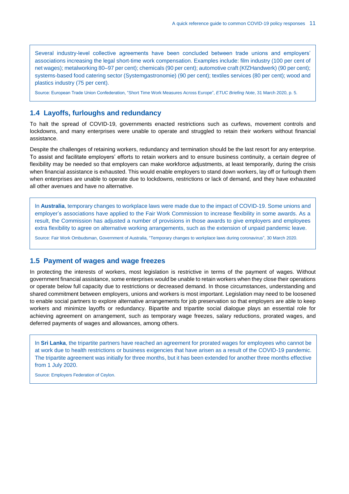Several industry-level collective agreements have been concluded between trade unions and employers' associations increasing the legal short-time work compensation. Examples include: film industry (100 per cent of net wages); metalworking 80–97 per cent); chemicals (90 per cent); automotive craft (KfZHandwerk) (90 per cent); systems-based food catering sector (Systemgastronomie) (90 per cent); textiles services (80 per cent); wood and plastics industry (75 per cent).

Source: European Trade Union Confederation, ["Short Time Work Measures Across Europe"](https://www.etuc.org/sites/default/files/publication/file/2020-04/Covid_19%20Briefing%20Short%20Time%20Work%20Measures%2031%20March.pdf), *ETUC Briefing Note*, 31 March 2020, p. 5.

## **1.4 Layoffs, furloughs and redundancy**

To halt the spread of COVID-19, governments enacted restrictions such as curfews, movement controls and lockdowns, and many enterprises were unable to operate and struggled to retain their workers without financial assistance.

Despite the challenges of retaining workers, redundancy and termination should be the last resort for any enterprise. To assist and facilitate employers' efforts to retain workers and to ensure business continuity, a certain degree of flexibility may be needed so that employers can make workforce adjustments, at least temporarily, during the crisis when financial assistance is exhausted. This would enable employers to stand down workers, lay off or furlough them when enterprises are unable to operate due to lockdowns, restrictions or lack of demand, and they have exhausted all other avenues and have no alternative.

In **Australia**, temporary changes to workplace laws were made due to the impact of COVID-19. Some unions and employer's associations have applied to the Fair Work Commission to increase flexibility in some awards. As a result, the Commission has adjusted a number of provisions in those awards to give employers and employees extra flexibility to agree on alternative working arrangements, such as the extension of unpaid pandemic leave.

Source: Fair Work Ombudsman, Government of Australia, ["Temporary changes to workplace laws during coronavirus",](https://coronavirus.fairwork.gov.au/coronavirus-and-australian-workplace-laws/temporary-changes-to-workplace-laws-during-coronavirus) 30 March 2020.

#### <span id="page-11-0"></span>**1.5 Payment of wages and wage freezes**

In protecting the interests of workers, most legislation is restrictive in terms of the payment of wages. Without government financial assistance, some enterprises would be unable to retain workers when they close their operations or operate below full capacity due to restrictions or decreased demand. In those circumstances, understanding and shared commitment between employers, unions and workers is most important. Legislation may need to be loosened to enable social partners to explore alternative arrangements for job preservation so that employers are able to keep workers and minimize layoffs or redundancy. Bipartite and tripartite social dialogue plays an essential role for achieving agreement on arrangement, such as temporary wage freezes, salary reductions, prorated wages, and deferred payments of wages and allowances, among others.

In **Sri Lanka**, the tripartite partners have reached an agreement for prorated wages for employees who cannot be at work due to health restrictions or business exigencies that have arisen as a result of the COVID-19 pandemic. The tripartite agreement was initially for three months, but it has been extended for another three months effective from 1 July 2020.

<span id="page-11-1"></span>Source: Employers Federation of Ceylon.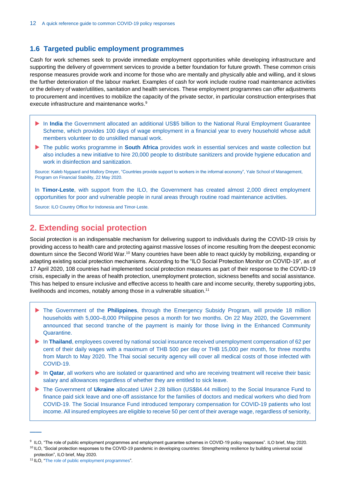## **1.6 Targeted public employment programmes**

Cash for work schemes seek to provide immediate employment opportunities while developing infrastructure and supporting the delivery of government services to provide a better foundation for future growth. These common crisis response measures provide work and income for those who are mentally and physically able and willing, and it slows the further deterioration of the labour market. Examples of cash for work include routine road maintenance activities or the delivery of water/utilities, sanitation and health services. These employment programmes can offer adjustments to procurement and incentives to mobilize the capacity of the private sector, in particular construction enterprises that execute infrastructure and maintenance works.<sup>9</sup>

- In **India** the Government allocated an additional US\$5 billion to the National Rural Employment Guarantee Scheme, which provides 100 days of wage employment in a financial year to every household whose adult members volunteer to do unskilled manual work.
- ▶ The public works programme in **South Africa** provides work in essential services and waste collection but also includes a new initiative to hire 20,000 people to distribute sanitizers and provide hygiene education and work in disinfection and sanitization.

Source: Kaleb Nygaard and Mallory Dreyer[, "Countries provide support to workers in the informal economy",](https://som.yale.edu/blog/countries-provide-support-to-workers-in-the-informal-economy) Yale School of Management, Program on Financial Stability, 22 May 2020.

In **Timor-Leste**, with support from the ILO, the Government has created almost 2,000 direct employment opportunities for poor and vulnerable people in rural areas through routine road maintenance activities.

Source: ILO Country Office for Indonesia and Timor-Leste.

# <span id="page-12-0"></span>**2. Extending social protection**

Social protection is an indispensable mechanism for delivering support to individuals during the COVID-19 crisis by providing access to health care and protecting against massive losses of income resulting from the deepest economic downturn since the Second World War.<sup>10</sup> Many countries have been able to react quickly by mobilizing, expanding or adapting existing social protection mechanisms. According to the "ILO Social Protection Monitor on COVID-19", as of 17 April 2020, 108 countries had implemented social protection measures as part of their response to the COVID-19 crisis, especially in the areas of health protection, unemployment protection, sickness benefits and social assistance. This has helped to ensure inclusive and effective access to health care and income security, thereby supporting jobs, livelihoods and incomes, notably among those in a vulnerable situation.<sup>11</sup>

- The Government of the **Philippines**, through the Emergency Subsidy Program, will provide 18 million households with 5,000–8,000 Philippine pesos a month for two months. On 22 May 2020, the Government announced that second tranche of the payment is mainly for those living in the Enhanced Community Quarantine.
- In **Thailand**, employees covered by national social insurance received unemployment compensation of 62 per cent of their daily wages with a maximum of THB 500 per day or THB 15,000 per month, for three months from March to May 2020. The Thai social security agency will cover all medical costs of those infected with COVID-19.
- In **Qatar**, all workers who are isolated or quarantined and who are receiving treatment will receive their basic salary and allowances regardless of whether they are entitled to sick leave.
- ▶ The Government of Ukraine allocated UAH 2.28 billion (US\$84.44 million) to the Social Insurance Fund to finance paid sick leave and one-off assistance for the families of doctors and medical workers who died from COVID-19. The Social Insurance Fund introduced temporary compensation for COVID-19 patients who lost income. All insured employees are eligible to receive 50 per cent of their average wage, regardless of seniority,

<sup>9</sup> ILO[, "The role of public employment programmes and employment guarantee schemes in COVID-19 policy responses".](https://www.ilo.org/wcmsp5/groups/public/---ed_emp/documents/publication/wcms_746368.pdf) ILO brief, May 2020.

<sup>&</sup>lt;sup>10</sup> ILO, "Social protection responses to the COVID-19 pandemic in developing countries: Strengthening resilience by building universal social

[protection",](https://www.ilo.org/wcmsp5/groups/public/---ed_protect/---soc_sec/documents/publication/wcms_744612.pdf) ILO brief, May 2020.

<sup>11</sup> ILO, ["The role of public employment programmes"](https://www.ilo.org/employment/units/emp-invest/WCMS_746368/lang--en/index.htm).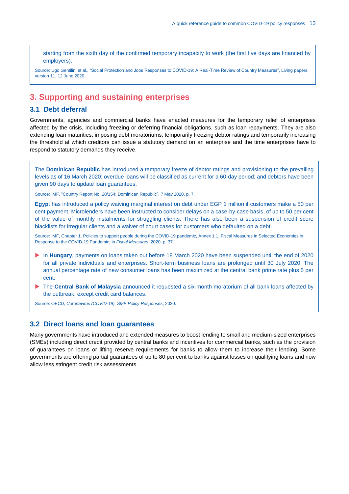starting from the sixth day of the confirmed temporary incapacity to work (the first five days are financed by employers).

Source: Ugo Gentilini et al., ["Social Protection and Jobs Responses to COVID-19: A Real-Time Review of Country Measures",](https://www.ugogentilini.net/wp-content/uploads/2020/06/SP-COVID-responses_June-12.pdf) Living papers, version 11, 12 June 2020.

# <span id="page-13-0"></span>**3. Supporting and sustaining enterprises**

## <span id="page-13-1"></span>**3.1 Debt deferral**

Governments, agencies and commercial banks have enacted measures for the temporary relief of enterprises affected by the crisis, including freezing or deferring financial obligations, such as loan repayments. They are also extending loan maturities, imposing debt moratoriums, temporarily freezing debtor ratings and temporarily increasing the threshold at which creditors can issue a statutory demand on an enterprise and the time enterprises have to respond to statutory demands they receive.

The **Dominican Republic** has introduced a temporary freeze of debtor ratings and provisioning to the prevailing levels as of 16 March 2020; overdue loans will be classified as current for a 60-day period; and debtors have been given 90 days to update loan guarantees.

Source: IMF[, "Country Report No. 20/154: Dominican Republic",](https://www.imf.org/en/Publications/CR/Issues/2020/05/07/Dominican-Republic-Request-for-Purchase-under-the-Rapid-Financing-Instrument-Press-Release-49400) 7 May 2020, p. 7.

**Egyp**t has introduced a policy waiving marginal interest on debt under EGP 1 million if customers make a 50 per cent payment. Microlenders have been instructed to consider delays on a case-by-case basis, of up to 50 per cent of the value of monthly instalments for struggling clients. There has also been a suspension of credit score blacklists for irregular clients and a waiver of court cases for customers who defaulted on a debt.

Source: IMF, [Chapter 1. Policies to support people during the COVID-19 pandemic, Annex 1.1. Fiscal Measures](https://www.google.com/url?sa=t&rct=j&q=&esrc=s&source=web&cd=&ved=2ahUKEwiG06TLrMHqAhXj8KYKHROlCd0QFjAAegQIBRAB&url=https%3A%2F%2Fwww.imf.org%2F~%2Fmedia%2FFiles%2FPublications%2Ffiscal-monitor%2F2020%2FApril%2FEnglish%2Fonlineannex11.ashx&usg=AOvVaw2vhufHP72qdOMbhl4_Sbg4) in Selected Economies in [Response to the COVID-19 Pandemic,](https://www.google.com/url?sa=t&rct=j&q=&esrc=s&source=web&cd=&ved=2ahUKEwiG06TLrMHqAhXj8KYKHROlCd0QFjAAegQIBRAB&url=https%3A%2F%2Fwww.imf.org%2F~%2Fmedia%2FFiles%2FPublications%2Ffiscal-monitor%2F2020%2FApril%2FEnglish%2Fonlineannex11.ashx&usg=AOvVaw2vhufHP72qdOMbhl4_Sbg4) in *Fiscal Measures*, 2020, p. 37.

- In **Hungary**, payments on loans taken out before 18 March 2020 have been suspended until the end of 2020 for all private individuals and enterprises. Short-term business loans are prolonged until 30 July 2020. The annual percentage rate of new consumer loans has been maximized at the central bank prime rate plus 5 per cent.
- ▶ The **Central Bank of Malaysia** announced it requested a six-month moratorium of all bank loans affected by the outbreak, except credit card balances.

Source: OECD, *[Coronavirus \(COVID-19\): SME Policy Responses](https://read.oecd-ilibrary.org/view/?ref=119_119680-di6h3qgi4x&title=Covid-19_SME_Policy_Responses)*, 2020.

## <span id="page-13-2"></span>**3.2 Direct loans and loan guarantees**

Many governments have introduced and extended measures to boost lending to small and medium-sized enterprises (SMEs) including direct credit provided by central banks and incentives for commercial banks, such as the provision of guarantees on loans or lifting reserve requirements for banks to allow them to increase their lending. Some governments are offering partial guarantees of up to 80 per cent to banks against losses on qualifying loans and now allow less stringent credit risk assessments.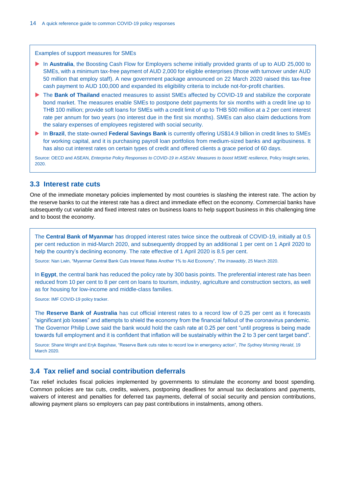Examples of support measures for SMEs

- In **Australia**, the Boosting Cash Flow for Employers scheme initially provided grants of up to AUD 25,000 to SMEs, with a minimum tax-free payment of AUD 2,000 for eligible enterprises (those with turnover under AUD 50 million that employ staff). A new government package announced on 22 March 2020 raised this tax-free cash payment to AUD 100,000 and expanded its eligibility criteria to include not-for-profit charities.
- ▶ The **Bank of Thailand** enacted measures to assist SMEs affected by COVID-19 and stabilize the corporate bond market. The measures enable SMEs to postpone debt payments for six months with a credit line up to THB 100 million; provide soft loans for SMEs with a credit limit of up to THB 500 million at a 2 per cent interest rate per annum for two years (no interest due in the first six months). SMEs can also claim deductions from the salary expenses of employees registered with social security.
- In **Brazil**, the state-owned **Federal Savings Bank** is currently offering US\$14.9 billion in credit lines to SMEs for working capital, and it is purchasing payroll loan portfolios from medium-sized banks and agribusiness. It has also cut interest rates on certain types of credit and offered clients a grace period of 60 days.

Source: OECD and ASEAN, *[Enterprise Policy Responses to COVID-19 in ASEAN: Measures to](https://asean.org/storage/2020/06/Policy-Insight-Enterprise-Policy-Responses-to-COVID-19-in-ASEAN-June-2020v2.pdf) boost MSME resilience,* Policy Insight series, 2020.

### <span id="page-14-0"></span>**3.3 Interest rate cuts**

One of the immediate monetary policies implemented by most countries is slashing the interest rate. The action by the reserve banks to cut the interest rate has a direct and immediate effect on the economy. Commercial banks have subsequently cut variable and fixed interest rates on business loans to help support business in this challenging time and to boost the economy.

The **Central Bank of Myanmar** has dropped interest rates twice since the outbreak of COVID-19, initially at 0.5 per cent reduction in mid-March 2020, and subsequently dropped by an additional 1 per cent on 1 April 2020 to help the country's declining economy. The rate effective of 1 April 2020 is 8.5 per cent.

Source: Nan Lwin, ["Myanmar Central Bank Cuts Interest Rates Another 1% to Aid Economy",](https://www.irrawaddy.com/news/burma/myanmar-central-bank-cuts-interest-rates-another-1-aid-economy.html) *The Irrawaddy*, 25 March 2020.

In **Egypt**, the central bank has reduced the policy rate by 300 basis points. The preferential interest rate has been reduced from 10 per cent to 8 per cent on loans to tourism, industry, agriculture and construction sectors, as well as for housing for low-income and middle-class families.

Source[: IMF COVID-19 policy tracker.](https://www.imf.org/en/Topics/imf-and-covid19/Policy-Responses-to-COVID-19)

The **Reserve Bank of Australia** has cut official interest rates to a record low of 0.25 per cent as it forecasts "significant job losses" and attempts to shield the economy from the financial fallout of the coronavirus pandemic. The Governor Philip Lowe said the bank would hold the cash rate at 0.25 per cent "until progress is being made towards full employment and it is confident that inflation will be sustainably within the 2 to 3 per cent target band".

Source: Shane Wright and Eryk Bagshaw[, "Reserve Bank cuts rates to record low in emergency action",](https://www.smh.com.au/politics/federal/reserve-bank-cuts-rates-to-record-low-in-emergency-action-20200319-p54bso.html) *The Sydney Morning Herald*, 19 March 2020.

## <span id="page-14-1"></span>**3.4 Tax relief and social contribution deferrals**

Tax relief includes fiscal policies implemented by governments to stimulate the economy and boost spending. Common policies are tax cuts, credits, waivers, postponing deadlines for annual tax declarations and payments, waivers of interest and penalties for deferred tax payments, deferral of social security and pension contributions, allowing payment plans so employers can pay past contributions in instalments, among others.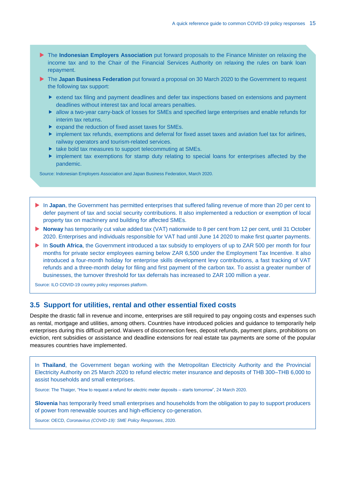- **The Indonesian Employers Association** put forward proposals to the Finance Minister on relaxing the income tax and to the Chair of the Financial Services Authority on relaxing the rules on bank loan repayment.
- **The Japan Business Federation** put forward a proposal on 30 March 2020 to the Government to request the following tax support:
	- extend tax filing and payment deadlines and defer tax inspections based on extensions and payment deadlines without interest tax and local arrears penalties.
	- allow a two-year carry-back of losses for SMEs and specified large enterprises and enable refunds for interim tax returns.
	- **Expand the reduction of fixed asset taxes for SMEs.**
	- implement tax refunds, exemptions and deferral for fixed asset taxes and aviation fuel tax for airlines, railway operators and tourism-related services.
	- $\blacktriangleright$  take bold tax measures to support telecommuting at SMEs.
	- $\triangleright$  implement tax exemptions for stamp duty relating to special loans for enterprises affected by the pandemic.

Source: Indonesian Employers Association and Japan Business Federation, March 2020.

- In **Japan**, the Government has permitted enterprises that suffered falling revenue of more than 20 per cent to defer payment of tax and social security contributions. It also implemented a reduction or exemption of local property tax on machinery and building for affected SMEs.
- **Norway** has temporarily cut value added tax (VAT) nationwide to 8 per cent from 12 per cent, until 31 October 2020. Enterprises and individuals responsible for VAT had until June 14 2020 to make first quarter payments.
- In **South Africa**, the Government introduced a tax subsidy to employers of up to ZAR 500 per month for four months for private sector employees earning below ZAR 6,500 under the Employment Tax Incentive. It also introduced a four-month holiday for enterprise skills development levy contributions, a fast tracking of VAT refunds and a three-month delay for filing and first payment of the carbon tax. To assist a greater number of businesses, the turnover threshold for tax deferrals has increased to ZAR 100 million a year.

Source[: ILO COVID-19 country policy responses](https://www.ilo.org/global/topics/coronavirus/country-responses/lang--en/index.htm) platform.

## <span id="page-15-0"></span>**3.5 Support for utilities, rental and other essential fixed costs**

Despite the drastic fall in revenue and income, enterprises are still required to pay ongoing costs and expenses such as rental, mortgage and utilities, among others. Countries have introduced policies and guidance to temporarily help enterprises during this difficult period. Waivers of disconnection fees, deposit refunds, payment plans, prohibitions on eviction, rent subsidies or assistance and deadline extensions for real estate tax payments are some of the popular measures countries have implemented.

In **Thailand**, the Government began working with the Metropolitan Electricity Authority and the Provincial Electricity Authority on 25 March 2020 to refund electric meter insurance and deposits of THB 300–THB 6,000 to assist households and small enterprises.

Source: The Thaiger, ["How to request a refund for electric meter deposits –](https://thethaiger.com/coronavirus/how-to-request-a-refund-for-electric-meter-deposits-starts-tomorrow) starts tomorrow", 24 March 2020.

**Slovenia** has temporarily freed small enterprises and households from the obligation to pay to support producers of power from renewable sources and high-efficiency co-generation.

Source: OECD, *[Coronavirus \(COVID-19\): SME Policy Responses](https://read.oecd-ilibrary.org/view/?ref=119_119680-di6h3qgi4x&title=Covid-19_SME_Policy_Responses)*, 2020.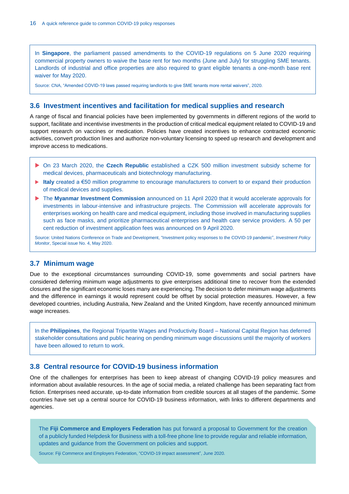In **Singapore**, the parliament passed amendments to the COVID-19 regulations on 5 June 2020 requiring commercial property owners to waive the base rent for two months (June and July) for struggling SME tenants. Landlords of industrial and office properties are also required to grant eligible tenants a one-month base rent waiver for May 2020.

Source: CNA, ["Amended COVID-19 laws passed requiring landlords to give SME tenants more rental waivers",](https://www.channelnewsasia.com/news/business/amended-covid-19-laws-landlords-tenants-rental-waivers-12807726) 2020.

# <span id="page-16-0"></span>**3.6 Investment incentives and facilitation for medical supplies and research**

A range of fiscal and financial policies have been implemented by governments in different regions of the world to support, facilitate and incentivise investments in the production of critical medical equipment related to COVID-19 and support research on vaccines or medication. Policies have created incentives to enhance contracted economic activities, convert production lines and authorize non-voluntary licensing to speed up research and development and improve access to medications.

- On 23 March 2020, the **Czech Republic** established a CZK 500 million investment subsidy scheme for medical devices, pharmaceuticals and biotechnology manufacturing.
- **Italy** created a €50 million programme to encourage manufacturers to convert to or expand their production of medical devices and supplies.
- ▶ The Myanmar Investment Commission announced on 11 April 2020 that it would accelerate approvals for investments in labour-intensive and infrastructure projects. The Commission will accelerate approvals for enterprises working on health care and medical equipment, including those involved in manufacturing supplies such as face masks, and prioritize pharmaceutical enterprises and health care service providers. A 50 per cent reduction of investment application fees was announced on 9 April 2020.

Source: United Nations Conference on Trade and Development, ["Investment policy responses to the COVID-19](https://unctad.org/en/PublicationsLibrary/diaepcbinf2020d3_en.pdf) pandemic", *Investment Policy Monitor*, Special issue No. 4, May 2020.

## <span id="page-16-1"></span>**3.7 Minimum wage**

Due to the exceptional circumstances surrounding COVID-19, some governments and social partners have considered deferring minimum wage adjustments to give enterprises additional time to recover from the extended closures and the significant economic loses many are experiencing. The decision to defer minimum wage adjustments and the difference in earnings it would represent could be offset by social protection measures. However, a few developed countries, including Australia, New Zealand and the United Kingdom, have recently announced minimum wage increases.

In the **Philippines**, the Regional Tripartite Wages and Productivity Board – National Capital Region has deferred stakeholder consultations and public hearing on pending minimum wage discussions until the majority of workers have been allowed to return to work.

## <span id="page-16-2"></span>**3.8 Central resource for COVID-19 business information**

One of the challenges for enterprises has been to keep abreast of changing COVID-19 policy measures and information about available resources. In the age of social media, a related challenge has been separating fact from fiction. Enterprises need accurate, up-to-date information from credible sources at all stages of the pandemic. Some countries have set up a central source for COVID-19 business information, with links to different departments and agencies.

The **Fiji Commerce and Employers Federation** has put forward a proposal to Government for the creation of a publicly funded Helpdesk for Business with a toll-free phone line to provide regular and reliable information, updates and guidance from the Government on policies and support.

Source: Fiji Commerce and Employers Federation, "COVID-19 impact assessment", June 2020.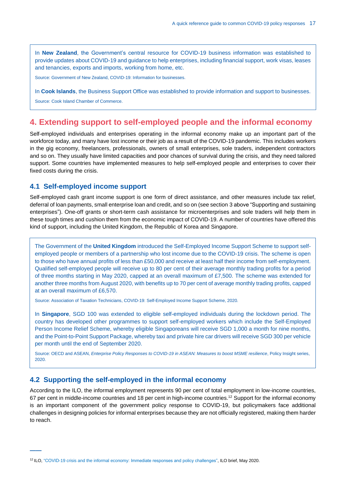In **New Zealand**, the Government's central resource for COVID-19 business information was established to provide updates about COVID-19 and guidance to help enterprises, including financial support, work visas, leases and tenancies, exports and imports, working from home, etc.

Source: Government of New Zealand, [COVID-19: Information for businesses.](https://www.business.govt.nz/covid-19/)

In **Cook Islands**, the Business Support Office was established to provide information and support to businesses.

Source[: Cook Island Chamber of Commerce.](https://www.facebook.com/CIChamber/photos/a.923754647769830/2109796795832270/?type=3&eid=ARCHvUAbUrfQMn31jkHWiyERjJjM3VKGzXY1jKTjT8Ao1og3ZDb4JEuMp8RGX-v0UHyBcaL-KBrBhglB)

# <span id="page-17-0"></span>**4. Extending support to self-employed people and the informal economy**

Self-employed individuals and enterprises operating in the informal economy make up an important part of the workforce today, and many have lost income or their job as a result of the COVID-19 pandemic. This includes workers in the gig economy, freelancers, professionals, owners of small enterprises, sole traders, independent contractors and so on. They usually have limited capacities and poor chances of survival during the crisis, and they need tailored support. Some countries have implemented measures to help self-employed people and enterprises to cover their fixed costs during the crisis.

### <span id="page-17-1"></span>**4.1 Self-employed income support**

**——**

Self-employed cash grant income support is one form of direct assistance, and other measures include tax relief, deferral of loan payments, small enterprise loan and credit, and so on (see section 3 above "Supporting and sustaining enterprises"). One-off grants or short-term cash assistance for microenterprises and sole traders will help them in these tough times and cushion them from the economic impact of COVID-19. A number of countries have offered this kind of support, including the United Kingdom, the Republic of Korea and Singapore.

The Government of the **United Kingdom** introduced the Self-Employed Income Support Scheme to support selfemployed people or members of a partnership who lost income due to the COVID-19 crisis. The scheme is open to those who have annual profits of less than £50,000 and receive at least half their income from self-employment. Qualified self-employed people will receive up to 80 per cent of their average monthly trading profits for a period of three months starting in May 2020, capped at an overall maximum of £7,500. The scheme was extended for another three months from August 2020, with benefits up to 70 per cent of average monthly trading profits, capped at an overall maximum of £6,570.

Source: Association of Taxation Technicians[, COVID-19: Self-Employed](https://www.att.org.uk/covid-19-self-employed-income-support-scheme) Income Support Scheme, 2020.

In **Singapore**, SGD 100 was extended to eligible self-employed individuals during the lockdown period. The country has developed other programmes to support self-employed workers which include the Self-Employed Person Income Relief Scheme, whereby eligible Singaporeans will receive SGD 1,000 a month for nine months, and the Point-to-Point Support Package, whereby taxi and private hire car drivers will receive SGD 300 per vehicle per month until the end of September 2020.

Source: OECD and ASEAN, *[Enterprise Policy Responses to COVID-19 in ASEAN: Measures to boost MSME resilience](https://asean.org/storage/2020/06/Policy-Insight-Enterprise-Policy-Responses-to-COVID-19-in-ASEAN-June-2020v2.pdf)*, Policy Insight series, 2020.

## <span id="page-17-2"></span>**4.2 Supporting the self-employed in the informal economy**

According to the ILO, the informal employment represents 90 per cent of total employment in low-income countries, 67 per cent in middle-income countries and 18 per cent in high-income countries.<sup>12</sup> Support for the informal economy is an important component of the government policy response to COVID-19, but policymakers face additional challenges in designing policies for informal enterprises because they are not officially registered, making them harder to reach.

<sup>12</sup> ILO[, "COVID-19 crisis and the informal economy: Immediate responses and policy challenges",](https://www.ilo.org/wcmsp5/groups/public/---ed_protect/---protrav/---travail/documents/briefingnote/wcms_743623.pdf) ILO brief, May 2020.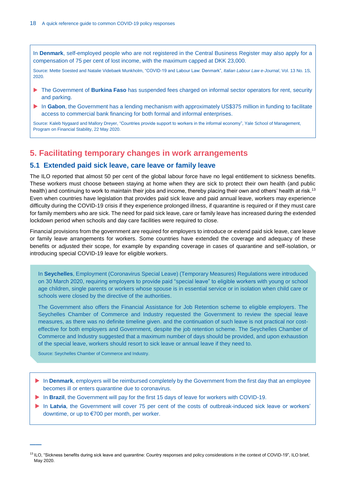In **Denmark**, self-employed people who are not registered in the Central Business Register may also apply for a compensation of 75 per cent of lost income, with the maximum capped at DKK 23,000.

Source: Mette Soested and Natalie Videbaek Munkholm[, "COVID-19 and Labour Law: Denmark",](https://illej.unibo.it/article/view/10803) *Italian Labour Law e-Journal*, Vol. 13 No. 1S, 2020.

- ▶ The Government of **Burkina Faso** has suspended fees charged on informal sector operators for rent, security and parking.
- In Gabon, the Government has a lending mechanism with approximately US\$375 million in funding to facilitate access to commercial bank financing for both formal and informal enterprises.

Source: Kaleb Nygaard and Mallory Dreyer, ["Countries provide support to workers in the informal economy",](https://som.yale.edu/blog/countries-provide-support-to-workers-in-the-informal-economy) Yale School of Management, Program on Financial Stability, 22 May 2020.

# <span id="page-18-0"></span>**5. Facilitating temporary changes in work arrangements**

## <span id="page-18-1"></span>**5.1 Extended paid sick leave, care leave or family leave**

The ILO reported that almost 50 per cent of the global labour force have no legal entitlement to sickness benefits. These workers must choose between staying at home when they are sick to protect their own health (and public health) and continuing to work to maintain their jobs and income, thereby placing their own and others' health at risk.<sup>13</sup> Even when countries have legislation that provides paid sick leave and paid annual leave, workers may experience difficulty during the COVID-19 crisis if they experience prolonged illness, if quarantine is required or if they must care for family members who are sick. The need for paid sick leave, care or family leave has increased during the extended lockdown period when schools and day care facilities were required to close.

Financial provisions from the government are required for employers to introduce or extend paid sick leave, care leave or family leave arrangements for workers. Some countries have extended the coverage and adequacy of these benefits or adjusted their scope, for example by expanding coverage in cases of quarantine and self-isolation, or introducing special COVID-19 leave for eligible workers.

In **Seychelles**, Employment (Coronavirus Special Leave) (Temporary Measures) Regulations were introduced on 30 March 2020, requiring employers to provide paid "special leave" to eligible workers with young or school age children, single parents or workers whose spouse is in essential service or in isolation when child care or schools were closed by the directive of the authorities.

The Government also offers the Financial Assistance for Job Retention scheme to eligible employers. The Seychelles Chamber of Commerce and Industry requested the Government to review the special leave measures, as there was no definite timeline given. and the continuation of such leave is not practical nor costeffective for both employers and Government, despite the job retention scheme. The Seychelles Chamber of Commerce and Industry suggested that a maximum number of days should be provided, and upon exhaustion of the special leave, workers should resort to sick leave or annual leave if they need to.

Source: Seychelles Chamber of Commerce and Industry.

- In **Denmark**, employers will be reimbursed completely by the Government from the first day that an employee becomes ill or enters quarantine due to coronavirus.
- In **Brazil**, the Government will pay for the first 15 days of leave for workers with COVID-19.
- In Latvia, the Government will cover 75 per cent of the costs of outbreak-induced sick leave or workers' downtime, or up to €700 per month, per worker.

<sup>&</sup>lt;sup>13</sup> ILO[, "Sickness benefits during sick leave and quarantine: Country responses and policy considerations in the context of COVID-19",](https://www.ilo.org/wcmsp5/groups/public/---ed_protect/---soc_sec/documents/publication/wcms_744510.pdf) ILO brief, May 2020.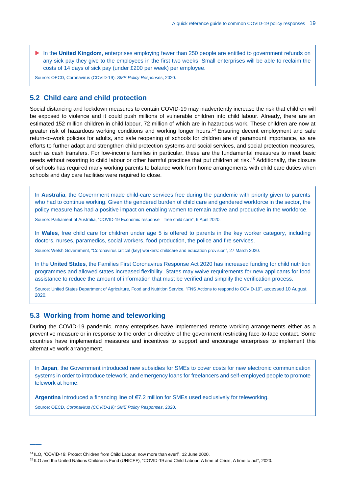In the **United Kingdom**, enterprises employing fewer than 250 people are entitled to government refunds on any sick pay they give to the employees in the first two weeks. Small enterprises will be able to reclaim the costs of 14 days of sick pay (under £200 per week) per employee.

Source: OECD[, Coronavirus \(COVID-19\):](https://read.oecd-ilibrary.org/view/?ref=119_119680-di6h3qgi4x&title=Covid-19_SME_Policy_Responses) *SME Policy Responses*, 2020.

## <span id="page-19-0"></span>**5.2 Child care and child protection**

Social distancing and lockdown measures to contain COVID-19 may inadvertently increase the risk that children will be exposed to violence and it could push millions of vulnerable children into child labour. Already, there are an estimated 152 million children in child labour, 72 million of which are in hazardous work. These children are now at greater risk of hazardous working conditions and working longer hours. <sup>14</sup> Ensuring decent employment and safe return-to-work policies for adults, and safe reopening of schools for children are of paramount importance, as are efforts to further adapt and strengthen child protection systems and social services, and social protection measures, such as cash transfers. For low-income families in particular, these are the fundamental measures to meet basic needs without resorting to child labour or other harmful practices that put children at risk. <sup>15</sup> Additionally, the closure of schools has required many working parents to balance work from home arrangements with child care duties when schools and day care facilities were required to close.

In **Australia**, the Government made child-care services free during the pandemic with priority given to parents who had to continue working. Given the gendered burden of child care and gendered workforce in the sector, the policy measure has had a positive impact on enabling women to remain active and productive in the workforce.

Source: Parliament of Australia[, "COVID-19 Economic response](https://www.aph.gov.au/About_Parliament/Parliamentary_Departments/Parliamentary_Library/FlagPost/2020/April/Coronavirus_response-Free_child_care) – free child care", 6 April 2020.

In **Wales**, free child care for children under age 5 is offered to parents in the key worker category, including doctors, nurses, paramedics, social workers, food production, the police and fire services.

Source: Welsh Government, ["Coronavirus critical \(key\) workers: childcare and education](https://gov.wales/coronavirus-critical-key-workers-childcare-and-education-provision) provision", 27 March 2020.

In the **United States**, the Families First Coronavirus Response Act 2020 has increased funding for child nutrition programmes and allowed states increased flexibility. States may waive requirements for new applicants for food assistance to reduce the amount of information that must be verified and simplify the verification process.

Source: United States Department of Agriculture, Food and Nutrition Service, ["FNS Actions to respond](https://www.fns.usda.gov/disaster/pandemic/covid-19) to COVID-19", accessed 10 August 2020.

## <span id="page-19-1"></span>**5.3 Working from home and teleworking**

During the COVID-19 pandemic, many enterprises have implemented remote working arrangements either as a preventive measure or in response to the order or directive of the government restricting face-to-face contact. Some countries have implemented measures and incentives to support and encourage enterprises to implement this alternative work arrangement.

In **Japan**, the Government introduced new subsidies for SMEs to cover costs for new electronic communication systems in order to introduce telework, and emergency loans for freelancers and self-employed people to promote telework at home.

**Argentina** introduced a financing line of €7.2 million for SMEs used exclusively for teleworking.

<span id="page-19-2"></span>Source: OECD, *[Coronavirus \(COVID-19\): SME Policy Responses](https://read.oecd-ilibrary.org/view/?ref=119_119680-di6h3qgi4x&title=Covid-19_SME_Policy_Responses)*, 2020.

<sup>&</sup>lt;sup>14</sup> ILO[, "COVID-19: Protect Children from Child Labour, now more than ever!",](https://www.ilo.org/ipec/Campaignandadvocacy/wdacl/2020/lang--en/index.htm) 12 June 2020.

<sup>15</sup> ILO and the United Nations Children's Fund (UNICEF)[, "COVID-19 and Child Labour: A time of Crisis, A time to act",](https://www.ilo.org/ipec/Informationresources/WCMS_747421/lang--en/index.htm) 2020.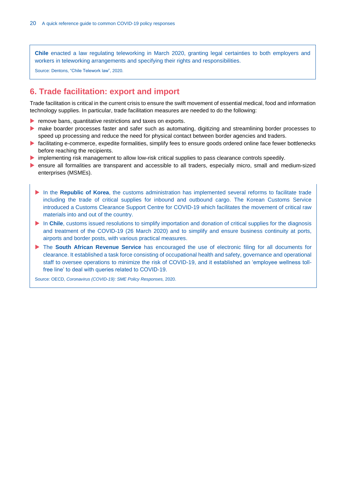**Chile** enacted a law regulating teleworking in March 2020, granting legal certainties to both employers and workers in teleworking arrangements and specifying their rights and responsibilities.

Source: Dentons[, "Chile Telework law",](https://www.dentons.com/en/insights/alerts/2020/april/2/chile-telework-law) 2020.

# **6. Trade facilitation: export and import**

Trade facilitation is critical in the current crisis to ensure the swift movement of essential medical, food and information technology supplies. In particular, trade facilitation measures are needed to do the following:

- $\blacktriangleright$  remove bans, quantitative restrictions and taxes on exports.
- **make boarder processes faster and safer such as automating, digitizing and streamlining border processes to** speed up processing and reduce the need for physical contact between border agencies and traders.
- facilitating e-commerce, expedite formalities, simplify fees to ensure goods ordered online face fewer bottlenecks before reaching the recipients.
- implementing risk management to allow low-risk critical supplies to pass clearance controls speedily.
- ensure all formalities are transparent and accessible to all traders, especially micro, small and medium-sized enterprises (MSMEs).
	- In the **Republic of Korea**, the customs administration has implemented several reforms to facilitate trade including the trade of critical supplies for inbound and outbound cargo. The Korean Customs Service introduced a Customs Clearance Support Centre for COVID-19 which facilitates the movement of critical raw materials into and out of the country.
	- In **Chile**, customs issued resolutions to simplify importation and donation of critical supplies for the diagnosis and treatment of the COVID-19 (26 March 2020) and to simplify and ensure business continuity at ports, airports and border posts, with various practical measures.
	- **The South African Revenue Service** has encouraged the use of electronic filing for all documents for clearance. It established a task force consisting of occupational health and safety, governance and operational staff to oversee operations to minimize the risk of COVID-19, and it established an 'employee wellness tollfree line' to deal with queries related to COVID-19.

Source: OECD, *[Coronavirus \(COVID-19\): SME Policy Responses,](https://read.oecd-ilibrary.org/view/?ref=119_119680-di6h3qgi4x&title=Covid-19_SME_Policy_Responses)* 2020.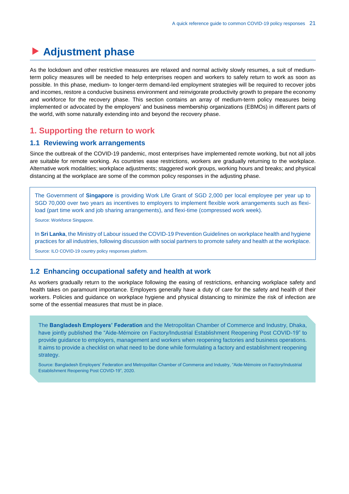# <span id="page-21-0"></span>**Adjustment phase**

As the lockdown and other restrictive measures are relaxed and normal activity slowly resumes, a suit of mediumterm policy measures will be needed to help enterprises reopen and workers to safely return to work as soon as possible. In this phase, medium- to longer-term demand-led employment strategies will be required to recover jobs and incomes, restore a conducive business environment and reinvigorate productivity growth to prepare the economy and workforce for the recovery phase. This section contains an array of medium-term policy measures being implemented or advocated by the employers' and business membership organizations (EBMOs) in different parts of the world, with some naturally extending into and beyond the recovery phase.

## <span id="page-21-1"></span>**1. Supporting the return to work**

## <span id="page-21-2"></span>**1.1 Reviewing work arrangements**

Since the outbreak of the COVID-19 pandemic, most enterprises have implemented remote working, but not all jobs are suitable for remote working. As countries ease restrictions, workers are gradually returning to the workplace. Alternative work modalities; workplace adjustments; staggered work groups, working hours and breaks; and physical distancing at the workplace are some of the common policy responses in the adjusting phase.

The Government of **Singapore** is providing Work Life Grant of SGD 2,000 per local employee per year up to SGD 70,000 over two years as incentives to employers to implement flexible work arrangements such as flexiload (part time work and job sharing arrangements), and flexi-time (compressed work week).

Source[: Workforce Singapore.](https://www.wsg.gov.sg/programmes-and-initiatives/wsg-worklife-grant-employers.html)

In **Sri Lanka**, the Ministry of Labour issued the COVID-19 Prevention Guidelines on workplace health and hygiene practices for all industries, following discussion with social partners to promote safety and health at the workplace.

Source[: ILO COVID-19 country policy responses](https://www.ilo.org/global/topics/coronavirus/country-responses/lang--en/index.htm) platform.

#### <span id="page-21-3"></span>**1.2 Enhancing occupational safety and health at work**

As workers gradually return to the workplace following the easing of restrictions, enhancing workplace safety and health takes on paramount importance. Employers generally have a duty of care for the safety and health of their workers. Policies and guidance on workplace hygiene and physical distancing to minimize the risk of infection are some of the essential measures that must be in place.

The **Bangladesh Employers' Federation** and the Metropolitan Chamber of Commerce and Industry, Dhaka, have jointly published the "Aide-Mémoire on Factory/Industrial Establishment Reopening Post COVID-19" to provide guidance to employers, management and workers when reopening factories and business operations. It aims to provide a checklist on what need to be done while formulating a factory and establishment reopening strategy.

Source: Bangladesh Employers' Federation and Metropolitan Chamber of Commerce and Industry, ["Aide-Mémoire on Factory/Industrial](https://www.ioe-emp.org/index.php?eID=dumpFile&t=f&f=146978&token=7a7264d5590b87b1c9fe95ff7566e092d7c5420a)  [Establishment Reopening Post COVID-19",](https://www.ioe-emp.org/index.php?eID=dumpFile&t=f&f=146978&token=7a7264d5590b87b1c9fe95ff7566e092d7c5420a) 2020.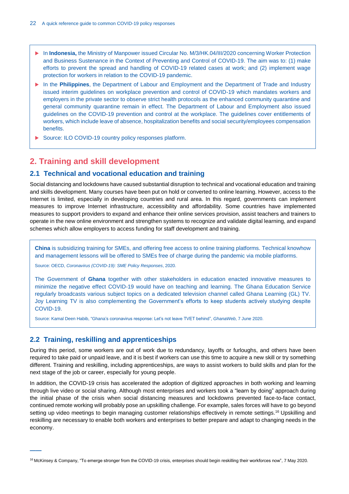- ▶ In **Indonesia**, the Ministry of Manpower issued Circular No. M/3/HK.04/III/2020 concerning Worker Protection and Business Sustenance in the Context of Preventing and Control of COVID-19. The aim was to: (1) make efforts to prevent the spread and handling of COVID-19 related cases at work; and (2) implement wage protection for workers in relation to the COVID-19 pandemic.
- In the **Philippines**, the Department of Labour and Employment and the Department of Trade and Industry issued interim guidelines on workplace prevention and control of COVID-19 which mandates workers and employers in the private sector to observe strict health protocols as the enhanced community quarantine and general community quarantine remain in effect. The Department of Labour and Employment also issued guidelines on the COVID-19 prevention and control at the workplace. The guidelines cover entitlements of workers, which include leave of absence, hospitalization benefits and social security/employees compensation benefits.
- Source: [ILO COVID-19 country policy responses](https://www.ilo.org/global/topics/coronavirus/country-responses/lang--en/index.htm) platform.

# <span id="page-22-0"></span>**2. Training and skill development**

## <span id="page-22-1"></span>**2.1 Technical and vocational education and training**

Social distancing and lockdowns have caused substantial disruption to technical and vocational education and training and skills development. Many courses have been put on hold or converted to online learning. However, access to the Internet is limited, especially in developing countries and rural area. In this regard, governments can implement measures to improve Internet infrastructure, accessibility and affordability. Some countries have implemented measures to support providers to expand and enhance their online services provision, assist teachers and trainers to operate in the new online environment and strengthen systems to recognize and validate digital learning, and expand schemes which allow employers to access funding for staff development and training.

**China** is subsidizing training for SMEs, and offering free access to online training platforms. Technical knowhow and management lessons will be offered to SMEs free of charge during the pandemic via mobile platforms.

Source: OECD, *[Coronavirus \(COVID-19\): SME Policy Responses](https://read.oecd-ilibrary.org/view/?ref=119_119680-di6h3qgi4x&title=Covid-19_SME_Policy_Responses)*, 2020.

The Government of **Ghana** together with other stakeholders in education enacted innovative measures to minimize the negative effect COVID-19 would have on teaching and learning. The Ghana Education Service regularly broadcasts various subject topics on a dedicated television channel called Ghana Learning (GL) TV. Joy Learning TV is also complementing the Government's efforts to keep students actively studying despite COVID-19.

Source: Kamal Deen Habib, "Ghana's [coronavirus response: Let's not leave TVET behind",](https://www.ghanaweb.com/GhanaHomePage/NewsArchive/Ghana-s-Coronavirus-Response-Let-s-not-leave-TVET-behind-973168) *GhanaWeb*, 7 June 2020.

## <span id="page-22-2"></span>**2.2 Training, reskilling and apprenticeships**

**——**

During this period, some workers are out of work due to redundancy, layoffs or furloughs, and others have been required to take paid or unpaid leave, and it is best if workers can use this time to acquire a new skill or try something different. Training and reskilling, including apprenticeships, are ways to assist workers to build skills and plan for the next stage of the job or career, especially for young people.

In addition, the COVID-19 crisis has accelerated the adoption of digitized approaches in both working and learning through live video or social sharing. Although most enterprises and workers took a "learn by doing" approach during the initial phase of the crisis when social distancing measures and lockdowns prevented face-to-face contact, continued remote working will probably pose an upskilling challenge. For example, sales forces will have to go beyond setting up video meetings to begin managing customer relationships effectively in remote settings.<sup>16</sup> Upskilling and reskilling are necessary to enable both workers and enterprises to better prepare and adapt to changing needs in the economy.

<sup>&</sup>lt;sup>16</sup> McKinsey & Company[, "To emerge stronger from the COVID-19 crisis, enterprises should begin reskilling their workforces now",](https://www.mckinsey.com/business-functions/organization/our-insights/to-emerge-stronger-from-the-covid-19-crisis-companies-should-start-reskilling-their-workforces-now) 7 May 2020.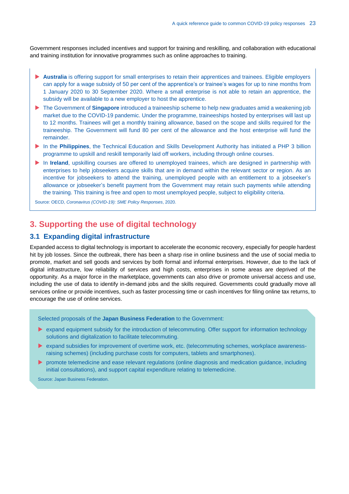Government responses included incentives and support for training and reskilling, and collaboration with educational and training institution for innovative programmes such as online approaches to training.

- **Australia** is offering support for small enterprises to retain their apprentices and trainees. Eligible employers can apply for a wage subsidy of 50 per cent of the apprentice's or trainee's wages for up to nine months from 1 January 2020 to 30 September 2020. Where a small enterprise is not able to retain an apprentice, the subsidy will be available to a new employer to host the apprentice.
- ▶ The Government of **Singapore** introduced a traineeship scheme to help new graduates amid a weakening job market due to the COVID-19 pandemic. Under the programme, traineeships hosted by enterprises will last up to 12 months. Trainees will get a monthly training allowance, based on the scope and skills required for the traineeship. The Government will fund 80 per cent of the allowance and the host enterprise will fund the remainder.
- In the **Philippines**, the Technical Education and Skills Development Authority has initiated a PHP 3 billion programme to upskill and reskill temporarily laid off workers, including through online courses.
- In **Ireland**, upskilling courses are offered to unemployed trainees, which are designed in partnership with enterprises to help jobseekers acquire skills that are in demand within the relevant sector or region. As an incentive for jobseekers to attend the training, unemployed people with an entitlement to a jobseeker's allowance or jobseeker's benefit payment from the Government may retain such payments while attending the training. This training is free and open to most unemployed people, subject to eligibility criteria.

Source: OECD, *[Coronavirus \(COVID-19\): SME Policy Responses](https://read.oecd-ilibrary.org/view/?ref=119_119680-di6h3qgi4x&title=Covid-19_SME_Policy_Responses)*, 2020.

# <span id="page-23-0"></span>**3. Supporting the use of digital technology**

## <span id="page-23-1"></span>**3.1 Expanding digital infrastructure**

Expanded access to digital technology is important to accelerate the economic recovery, especially for people hardest hit by job losses. Since the outbreak, there has been a sharp rise in online business and the use of social media to promote, market and sell goods and services by both formal and informal enterprises. However, due to the lack of digital infrastructure, low reliability of services and high costs, enterprises in some areas are deprived of the opportunity. As a major force in the marketplace, governments can also drive or promote universal access and use, including the use of data to identify in-demand jobs and the skills required. Governments could gradually move all services online or provide incentives, such as faster processing time or cash incentives for filing online tax returns, to encourage the use of online services.

Selected proposals of the **Japan Business Federation** to the Government:

- **Expand equipment subsidy for the introduction of telecommuting. Offer support for information technology** solutions and digitalization to facilitate telecommuting.
- expand subsidies for improvement of overtime work, etc. (telecommuting schemes, workplace awarenessraising schemes) (including purchase costs for computers, tablets and smartphones).
- $\triangleright$  promote telemedicine and ease relevant regulations (online diagnosis and medication guidance, including initial consultations), and support capital expenditure relating to telemedicine.

Source: Japan Business Federation.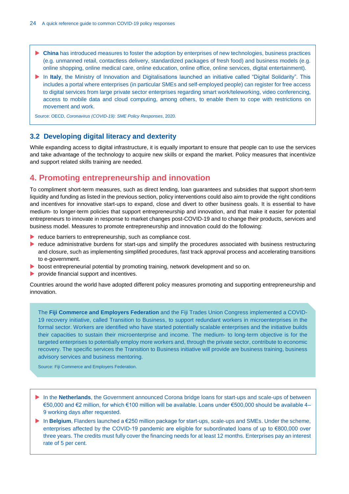- **China** has introduced measures to foster the adoption by enterprises of new technologies, business practices (e.g. unmanned retail, contactless delivery, standardized packages of fresh food) and business models (e.g. online shopping, online medical care, online education, online office, online services, digital entertainment).
- In **Italy**, the Ministry of Innovation and Digitalisations launched an initiative called "Digital Solidarity". This includes a portal where enterprises (in particular SMEs and self-employed people) can register for free access to digital services from large private sector enterprises regarding smart work/teleworking, video conferencing, access to mobile data and cloud computing, among others, to enable them to cope with restrictions on movement and work.

Source: OECD, *[Coronavirus \(COVID-19\): SME Policy Responses](https://read.oecd-ilibrary.org/view/?ref=119_119680-di6h3qgi4x&title=Covid-19_SME_Policy_Responses)*, 2020.

## <span id="page-24-0"></span>**3.2 Developing digital literacy and dexterity**

While expanding access to digital infrastructure, it is equally important to ensure that people can to use the services and take advantage of the technology to acquire new skills or expand the market. Policy measures that incentivize and support related skills training are needed.

# <span id="page-24-1"></span>**4. Promoting entrepreneurship and innovation**

To compliment short-term measures, such as direct lending, loan guarantees and subsidies that support short-term liquidity and funding as listed in the previous section, policy interventions could also aim to provide the right conditions and incentives for innovative start-ups to expand, close and divert to other business goals. It is essential to have medium- to longer-term policies that support entrepreneurship and innovation, and that make it easier for potential entrepreneurs to innovate in response to market changes post-COVID-19 and to change their products, services and business model. Measures to promote entrepreneurship and innovation could do the following:

- $\blacktriangleright$  reduce barriers to entrepreneurship, such as compliance cost.
- reduce administrative burdens for start-ups and simplify the procedures associated with business restructuring and closure, such as implementing simplified procedures, fast track approval process and accelerating transitions to e-government.
- **boost entrepreneurial potential by promoting training, network development and so on.**
- provide financial support and incentives.

Countries around the world have adopted different policy measures promoting and supporting entrepreneurship and innovation.

The **Fiji Commerce and Employers Federation** and the Fiji Trades Union Congress implemented a COVID-19 recovery initiative, called Transition to Business, to support redundant workers in microenterprises in the formal sector. Workers are identified who have started potentially scalable enterprises and the initiative builds their capacities to sustain their microenterprise and income. The medium- to long-term objective is for the targeted enterprises to potentially employ more workers and, through the private sector, contribute to economic recovery. The specific services the Transition to Business initiative will provide are business training, business advisory services and business mentoring.

Source: Fiji Commerce and Employers Federation.

- In the **Netherlands**, the Government announced Corona bridge loans for start-ups and scale-ups of between €50,000 and €2 million, for which €100 million will be available. Loans under €500,000 should be available 4– 9 working days after requested.
- In **Belgium**, Flanders launched a €250 million package for start-ups, scale-ups and SMEs. Under the scheme, enterprises affected by the COVID-19 pandemic are eligible for subordinated loans of up to €800,000 over three years. The credits must fully cover the financing needs for at least 12 months. Enterprises pay an interest rate of 5 per cent.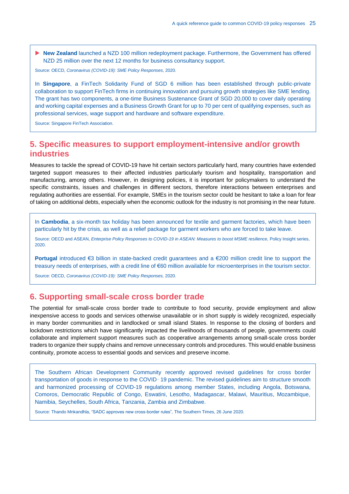▶ New Zealand launched a NZD 100 million redeployment package. Furthermore, the Government has offered NZD 25 million over the next 12 months for business consultancy support.

Source: OECD, *[Coronavirus \(COVID-19\): SME Policy Responses](https://read.oecd-ilibrary.org/view/?ref=119_119680-di6h3qgi4x&title=Covid-19_SME_Policy_Responses)*, 2020.

In **Singapore**, a FinTech Solidarity Fund of SGD 6 million has been established through public-private collaboration to support FinTech firms in continuing innovation and pursuing growth strategies like SME lending. The grant has two components, a one-time Business Sustenance Grant of SGD 20,000 to cover daily operating and working capital expenses and a Business Growth Grant for up to 70 per cent of qualifying expenses, such as professional services, wage support and hardware and software expenditure.

Source[: Singapore FinTech Association.](https://www.mas.gov.sg/-/media/MAS/Fintech/ftig-covid-icons/MAS-SFA-AMTD-FinTech-Solidarity-Grant-Infographic.pdf)

# <span id="page-25-0"></span>**5. Specific measures to support employment-intensive and/or growth industries**

Measures to tackle the spread of COVID-19 have hit certain sectors particularly hard, many countries have extended targeted support measures to their affected industries particularly tourism and hospitality, transportation and manufacturing, among others. However, in designing policies, it is important for policymakers to understand the specific constraints, issues and challenges in different sectors, therefore interactions between enterprises and regulating authorities are essential. For example, SMEs in the tourism sector could be hesitant to take a loan for fear of taking on additional debts, especially when the economic outlook for the industry is not promising in the near future.

In **Cambodia**, a six-month tax holiday has been announced for textile and garment factories, which have been particularly hit by the crisis, as well as a relief package for garment workers who are forced to take leave.

Source: OECD and ASEAN, *[Enterprise Policy Responses to COVID-19 in ASEAN: Measures to boost MSME resilience,](https://asean.org/storage/2020/06/Policy-Insight-Enterprise-Policy-Responses-to-COVID-19-in-ASEAN-June-2020v2.pdf)* Policy Insight series, 2020.

**Portugal** introduced €3 billion in state-backed credit guarantees and a €200 million credit line to support the treasury needs of enterprises, with a credit line of €60 million available for microenterprises in the tourism sector.

Source: OECD, *[Coronavirus \(COVID-19\): SME Policy Responses,](https://read.oecd-ilibrary.org/view/?ref=119_119680-di6h3qgi4x&title=Covid-19_SME_Policy_Responses)* 2020.

## <span id="page-25-1"></span>**6. Supporting small-scale cross border trade**

The potential for small-scale cross border trade to contribute to food security, provide employment and allow inexpensive access to goods and services otherwise unavailable or in short supply is widely recognized, especially in many border communities and in landlocked or small island States. In response to the closing of borders and lockdown restrictions which have significantly impacted the livelihoods of thousands of people, governments could collaborate and implement support measures such as cooperative arrangements among small-scale cross border traders to organize their supply chains and remove unnecessary controls and procedures. This would enable business continuity, promote access to essential goods and services and preserve income.

The Southern African Development Community recently approved revised guidelines for cross border transportation of goods in response to the COVID‑ 19 pandemic. The revised guidelines aim to structure smooth and harmonized processing of COVID-19 regulations among member States, including Angola, Botswana, Comoros, Democratic Republic of Congo, Eswatini, Lesotho, Madagascar, Malawi, Mauritius, Mozambique, Namibia, Seychelles, South Africa, Tanzania, Zambia and Zimbabwe.

Source: Thando Mnkandhla, ["SADC approves new cross-border rules",](https://southerntimesafrica.com/site/news/sadc-approves-new-cross-border-rules) The Southern Times, 26 June 2020.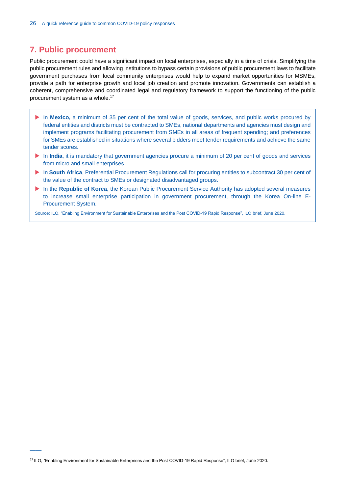# <span id="page-26-0"></span>**7. Public procurement**

Public procurement could have a significant impact on local enterprises, especially in a time of crisis. Simplifying the public procurement rules and allowing institutions to bypass certain provisions of public procurement laws to facilitate government purchases from local community enterprises would help to expand market opportunities for MSMEs, provide a path for enterprise growth and local job creation and promote innovation. Governments can establish a coherent, comprehensive and coordinated legal and regulatory framework to support the functioning of the public procurement system as a whole. 17

- In Mexico, a minimum of 35 per cent of the total value of goods, services, and public works procured by federal entities and districts must be contracted to SMEs, national departments and agencies must design and implement programs facilitating procurement from SMEs in all areas of frequent spending; and preferences for SMEs are established in situations where several bidders meet tender requirements and achieve the same tender scores.
- In **India**, it is mandatory that government agencies procure a minimum of 20 per cent of goods and services from micro and small enterprises.
- In **South Africa**, Preferential Procurement Regulations call for procuring entities to subcontract 30 per cent of the value of the contract to SMEs or designated disadvantaged groups.
- In the **Republic of Korea**, the Korean Public Procurement Service Authority has adopted several measures to increase small enterprise participation in government procurement, through the Korea On-line E-Procurement System.

Source: ILO, ["Enabling Environment for Sustainable Enterprises and the Post COVID-19 Rapid Response",](https://www.ilo.org/empent/Publications/WCMS_750320/lang--en/index.htm) ILO brief, June 2020.

<sup>&</sup>lt;sup>17</sup> ILO[, "Enabling Environment for Sustainable Enterprises and the Post COVID-19 Rapid Response",](https://www.ilo.org/empent/Publications/WCMS_750320/lang--en/index.htm) ILO brief, June 2020.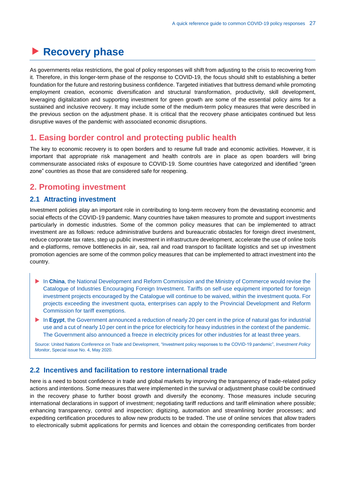# <span id="page-27-0"></span>**Recovery phase**

As governments relax restrictions, the goal of policy responses will shift from adjusting to the crisis to recovering from it. Therefore, in this longer-term phase of the response to COVID-19, the focus should shift to establishing a better foundation for the future and restoring business confidence. Targeted initiatives that buttress demand while promoting employment creation, economic diversification and structural transformation, productivity, skill development, leveraging digitalization and supporting investment for green growth are some of the essential policy aims for a sustained and inclusive recovery. It may include some of the medium-term policy measures that were described in the previous section on the adjustment phase. It is critical that the recovery phase anticipates continued but less disruptive waves of the pandemic with associated economic disruptions.

# <span id="page-27-1"></span>**1. Easing border control and protecting public health**

The key to economic recovery is to open borders and to resume full trade and economic activities. However, it is important that appropriate risk management and health controls are in place as open boarders will bring commensurate associated risks of exposure to COVID-19. Some countries have categorized and identified "green zone" countries as those that are considered safe for reopening.

# <span id="page-27-2"></span>**2. Promoting investment**

#### <span id="page-27-3"></span>**2.1 Attracting investment**

Investment policies play an important role in contributing to long-term recovery from the devastating economic and social effects of the COVID-19 pandemic. Many countries have taken measures to promote and support investments particularly in domestic industries. Some of the common policy measures that can be implemented to attract investment are as follows: reduce administrative burdens and bureaucratic obstacles for foreign direct investment, reduce corporate tax rates, step up public investment in infrastructure development, accelerate the use of online tools and e-platforms, remove bottlenecks in air, sea, rail and road transport to facilitate logistics and set up investment promotion agencies are some of the common policy measures that can be implemented to attract investment into the country.

- **In China**, the National Development and Reform Commission and the Ministry of Commerce would revise the Catalogue of Industries Encouraging Foreign Investment. Tariffs on self-use equipment imported for foreign investment projects encouraged by the Catalogue will continue to be waived, within the investment quota. For projects exceeding the investment quota, enterprises can apply to the Provincial Development and Reform Commission for tariff exemptions.
- In **Egypt**, the Government announced a reduction of nearly 20 per cent in the price of natural gas for industrial use and a cut of nearly 10 per cent in the price for electricity for heavy industries in the context of the pandemic. The Government also announced a freeze in electricity prices for other industries for at least three years.

Source: United Nations Conference on Trade and Development[, "Investment policy responses to the COVID-19 pandemic",](https://unctad.org/en/PublicationsLibrary/diaepcbinf2020d3_en.pdf) *Investment Policy Monitor*, Special issue No. 4, May 2020.

## <span id="page-27-4"></span>**2.2 Incentives and facilitation to restore international trade**

here is a need to boost confidence in trade and global markets by improving the transparency of trade-related policy actions and intentions. Some measures that were implemented in the survival or adjustment phase could be continued in the recovery phase to further boost growth and diversify the economy. Those measures include securing international declarations in support of investment; negotiating tariff reductions and tariff elimination where possible; enhancing transparency, control and inspection; digitizing, automation and streamlining border processes; and expediting certification procedures to allow new products to be traded. The use of online services that allow traders to electronically submit applications for permits and licences and obtain the corresponding certificates from border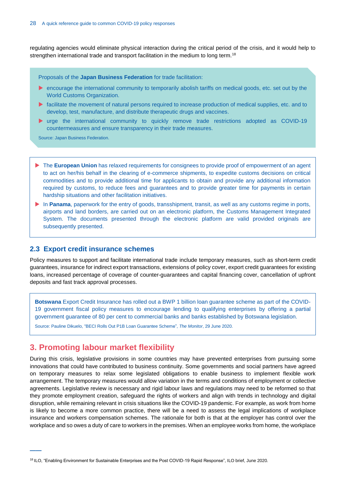regulating agencies would eliminate physical interaction during the critical period of the crisis, and it would help to strengthen international trade and transport facilitation in the medium to long term.<sup>18</sup>

Proposals of the **Japan Business Federation** for trade facilitation:

- **EXECUTE:** encourage the international community to temporarily abolish tariffs on medical goods, etc. set out by the World Customs Organization.
- facilitate the movement of natural persons required to increase production of medical supplies, etc. and to develop, test, manufacture, and distribute therapeutic drugs and vaccines.
- urge the international community to quickly remove trade restrictions adopted as COVID-19 countermeasures and ensure transparency in their trade measures.

Source: Japan Business Federation.

- ▶ The **European Union** has relaxed requirements for consignees to provide proof of empowerment of an agent to act on her/his behalf in the clearing of e-commerce shipments, to expedite customs decisions on critical commodities and to provide additional time for applicants to obtain and provide any additional information required by customs, to reduce fees and guarantees and to provide greater time for payments in certain hardship situations and other facilitation initiatives.
- In **Panama**, paperwork for the entry of goods, transshipment, transit, as well as any customs regime in ports, airports and land borders, are carried out on an electronic platform, the Customs Management Integrated System. The documents presented through the electronic platform are valid provided originals are subsequently presented.

## <span id="page-28-0"></span>**2.3 Export credit insurance schemes**

Policy measures to support and facilitate international trade include temporary measures, such as short-term credit guarantees, insurance for indirect export transactions, extensions of policy cover, export credit guarantees for existing loans, increased percentage of coverage of counter-guarantees and capital financing cover, cancellation of upfront deposits and fast track approval processes.

**Botswana** Export Credit Insurance has rolled out a BWP 1 billion loan guarantee scheme as part of the COVID-19 government fiscal policy measures to encourage lending to qualifying enterprises by offering a partial government guarantee of 80 per cent to commercial banks and banks established by Botswana legislation.

Source: Pauline Dikuelo, ["BECI Rolls Out P1B Loan Guarantee Scheme",](https://www.mmegi.bw/index.php?aid=86071&dir=2020/june/29) *The Monitor*, 29 June 2020.

# <span id="page-28-1"></span>**3. Promoting labour market flexibility**

**——**

During this crisis, legislative provisions in some countries may have prevented enterprises from pursuing some innovations that could have contributed to business continuity. Some governments and social partners have agreed on temporary measures to relax some legislated obligations to enable business to implement flexible work arrangement. The temporary measures would allow variation in the terms and conditions of employment or collective agreements. Legislative review is necessary and rigid labour laws and regulations may need to be reformed so that they promote employment creation, safeguard the rights of workers and align with trends in technology and digital disruption, while remaining relevant in crisis situations like the COVID-19 pandemic. For example, as work from home is likely to become a more common practice, there will be a need to assess the legal implications of workplace insurance and workers compensation schemes. The rationale for both is that at the employer has control over the workplace and so owes a duty of care to workers in the premises. When an employee works from home, the workplace

<sup>&</sup>lt;sup>18</sup> ILO[, "Enabling Environment for Sustainable Enterprises and the Post COVID-19 Rapid Response",](https://www.ilo.org/empent/Publications/WCMS_750320/lang--en/index.htm) ILO brief, June 2020.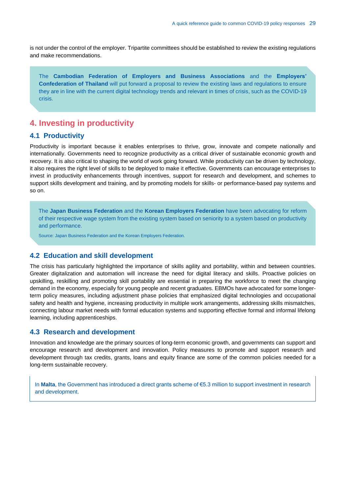is not under the control of the employer. Tripartite committees should be established to review the existing regulations and make recommendations.

The **Cambodian Federation of Employers and Business Associations** and the **Employers' Confederation of Thailand** will put forward a proposal to review the existing laws and regulations to ensure they are in line with the current digital technology trends and relevant in times of crisis, such as the COVID-19 crisis.

# <span id="page-29-0"></span>**4. Investing in productivity**

## <span id="page-29-1"></span>**4.1 Productivity**

Productivity is important because it enables enterprises to thrive, grow, innovate and compete nationally and internationally. Governments need to recognize productivity as a critical driver of sustainable economic growth and recovery. It is also critical to shaping the world of work going forward. While productivity can be driven by technology, it also requires the right level of skills to be deployed to make it effective. Governments can encourage enterprises to invest in productivity enhancements through incentives, support for research and development, and schemes to support skills development and training, and by promoting models for skills- or performance-based pay systems and so on.

The **Japan Business Federation** and the **Korean Employers Federation** have been advocating for reform of their respective wage system from the existing system based on seniority to a system based on productivity and performance.

Source: Japan Business Federation and the Korean Employers Federation.

## <span id="page-29-2"></span>**4.2 Education and skill development**

The crisis has particularly highlighted the importance of skills agility and portability, within and between countries. Greater digitalization and automation will increase the need for digital literacy and skills. Proactive policies on upskilling, reskilling and promoting skill portability are essential in preparing the workforce to meet the changing demand in the economy, especially for young people and recent graduates. EBMOs have advocated for some longerterm policy measures, including adjustment phase policies that emphasized digital technologies and occupational safety and health and hygiene, increasing productivity in multiple work arrangements, addressing skills mismatches, connecting labour market needs with formal education systems and supporting effective formal and informal lifelong learning, including apprenticeships.

## <span id="page-29-3"></span>**4.3 Research and development**

Innovation and knowledge are the primary sources of long-term economic growth, and governments can support and encourage research and development and innovation. Policy measures to promote and support research and development through tax credits, grants, loans and equity finance are some of the common policies needed for a long-term sustainable recovery.

<span id="page-29-4"></span>In **Malta**, the Government has introduced a direct grants scheme of €5.3 million to support investment in research and development.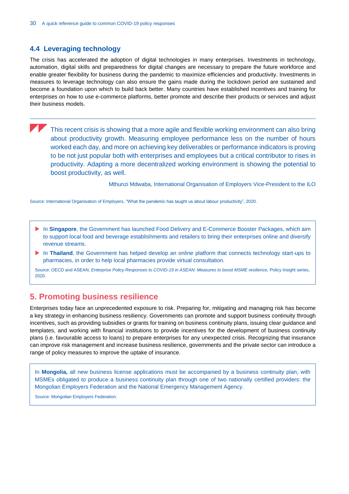## **4.4 Leveraging technology**

The crisis has accelerated the adoption of digital technologies in many enterprises. Investments in technology, automation, digital skills and preparedness for digital changes are necessary to prepare the future workforce and enable greater flexibility for business during the pandemic to maximize efficiencies and productivity. Investments in measures to leverage technology can also ensure the gains made during the lockdown period are sustained and become a foundation upon which to build back better. Many countries have established incentives and training for enterprises on how to use e-commerce platforms, better promote and describe their products or services and adjust their business models.

This recent crisis is showing that a more agile and flexible working environment can also bring about productivity growth. Measuring employee performance less on the number of hours worked each day, and more on achieving key deliverables or performance indicators is proving to be not just popular both with enterprises and employees but a critical contributor to rises in productivity. Adapting a more decentralized working environment is showing the potential to boost productivity, as well.

Mthunzi Mdwaba, International Organisation of Employers Vice-President to the ILO

Source: International Organisation of Employers, ["What the pandemic has taught us about labour productivity",](https://www.ioe-emp.org/no_cache/en/news-events-documents/news/news/1592571469-what-the-pandemic-has-taught-us-about-labour-productivity/?tx_ioerelations_pi1%5Bcontext%5D=pid&tx_ioerelations_pi1%5Bfilter%5D=news&tx_ioerelations_pi1%5BcurrentPid%5D=446&tx_ioerelations_pi1%5Bnews%5D=117117&cHash=bf6046e33a20853577db4275c393acd3) 2020.

- **In Singapore**, the Government has launched Food Delivery and E-Commerce Booster Packages, which aim to support local food and beverage establishments and retailers to bring their enterprises online and diversify revenue streams.
- In **Thailand**, the Government has helped develop an online platform that connects technology start-ups to pharmacies, in order to help local pharmacies provide virtual consultation.

Source: OECD and ASEAN, *[Enterprise Policy Responses to COVID-19 in ASEAN: Measures to boost MSME resilience,](https://asean.org/storage/2020/06/Policy-Insight-Enterprise-Policy-Responses-to-COVID-19-in-ASEAN-June-2020v2.pdf)* Policy Insight series, 2020.

# <span id="page-30-0"></span>**5. Promoting business resilience**

Enterprises today face an unprecedented exposure to risk. Preparing for, mitigating and managing risk has become a key strategy in enhancing business resiliency. Governments can promote and support business continuity through incentives, such as providing subsidies or grants for training on business continuity plans, issuing clear guidance and templates, and working with financial institutions to provide incentives for the development of business continuity plans (i.e. favourable access to loans) to prepare enterprises for any unexpected crisis. Recognizing that insurance can improve risk management and increase business resilience, governments and the private sector can introduce a range of policy measures to improve the uptake of insurance.

In **Mongolia,** all new business license applications must be accompanied by a business continuity plan, with MSMEs obligated to produce a business continuity plan through one of two nationally certified providers: the Mongolian Employers Federation and the National Emergency Management Agency.

Source: Mongolian Employers Federation.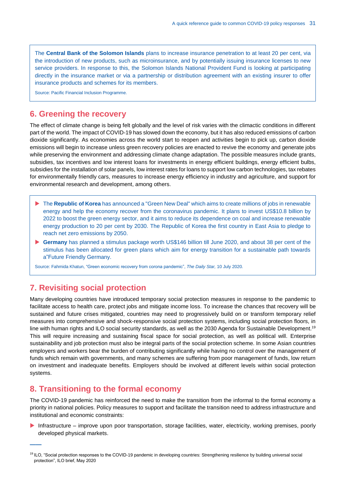The **Central Bank of the Solomon Islands** plans to increase insurance penetration to at least 20 per cent, via the introduction of new products, such as microinsurance, and by potentially issuing insurance licenses to new service providers. In response to this, the Solomon Islands National Provident Fund is looking at participating directly in the insurance market or via a partnership or distribution agreement with an existing insurer to offer insurance products and schemes for its members.

Source: Pacific Financial Inclusion Programme.

# <span id="page-31-0"></span>**6. Greening the recovery**

The effect of climate change is being felt globally and the level of risk varies with the climactic conditions in different part of the world. The impact of COVID-19 has slowed down the economy, but it has also reduced emissions of carbon dioxide significantly. As economies across the world start to reopen and activities begin to pick up, carbon dioxide emissions will begin to increase unless green recovery policies are enacted to revive the economy and generate jobs while preserving the environment and addressing climate change adaptation. The possible measures include grants, subsidies, tax incentives and low interest loans for investments in energy efficient buildings, energy efficient bulbs, subsidies for the installation of solar panels, low interest rates for loans to support low carbon technologies, tax rebates for environmentally friendly cars, measures to increase energy efficiency in industry and agriculture, and support for environmental research and development, among others.

- ▶ The **Republic of Korea** has announced a "Green New Deal" which aims to create millions of jobs in renewable energy and help the economy recover from the coronavirus pandemic. It plans to invest US\$10.8 billion by 2022 to boost the green energy sector, and it aims to reduce its dependence on coal and increase renewable energy production to 20 per cent by 2030. The Republic of Korea the first country in East Asia to pledge to reach net zero emissions by 2050.
- ▶ Germany has planned a stimulus package worth US\$146 billion till June 2020, and about 38 per cent of the stimulus has been allocated for green plans which aim for energy transition for a sustainable path towards a"Future Friendly Germany.

Source: Fahmida Khatun[, "Green economic recovery from corona pandemic",](https://www.thedailystar.net/opinion/macro-mirror/news/green-economic-recovery-corona-pandemic-1925605) *The Daily Star,* 10 July 2020.

# <span id="page-31-1"></span>**7. Revisiting social protection**

Many developing countries have introduced temporary social protection measures in response to the pandemic to facilitate access to health care, protect jobs and mitigate income loss. To increase the chances that recovery will be sustained and future crises mitigated, countries may need to progressively build on or transform temporary relief measures into comprehensive and shock-responsive social protection systems, including social protection floors, in line with human rights and ILO social security standards, as well as the 2030 Agenda for Sustainable Development.<sup>19</sup> This will require increasing and sustaining fiscal space for social protection, as well as political will. Enterprise sustainability and job protection must also be integral parts of the social protection scheme. In some Asian countries employers and workers bear the burden of contributing significantly while having no control over the management of funds which remain with governments, and many schemes are suffering from poor management of funds, low return on investment and inadequate benefits. Employers should be involved at different levels within social protection systems.

# <span id="page-31-2"></span>**8. Transitioning to the formal economy**

**——**

The COVID-19 pandemic has reinforced the need to make the transition from the informal to the formal economy a priority in national policies. Policy measures to support and facilitate the transition need to address infrastructure and institutional and economic constraints:

 Infrastructure – improve upon poor transportation, storage facilities, water, electricity, working premises, poorly developed physical markets.

<sup>19</sup> ILO, "Social protection responses to the COVID-19 pandemic in developing countries: Strengthening resilience by building universal social protection", ILO brief, May 2020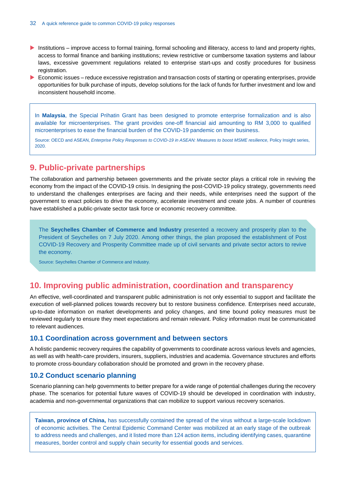- Institutions improve access to formal training, formal schooling and illiteracy, access to land and property rights, access to formal finance and banking institutions; review restrictive or cumbersome taxation systems and labour laws, excessive government regulations related to enterprise start-ups and costly procedures for business registration.
- Economic issues reduce excessive registration and transaction costs of starting or operating enterprises, provide opportunities for bulk purchase of inputs, develop solutions for the lack of funds for further investment and low and inconsistent household income.

In **Malaysia**, the Special Prihatin Grant has been designed to promote enterprise formalization and is also available for microenterprises. The grant provides one-off financial aid amounting to RM 3,000 to qualified microenterprises to ease the financial burden of the COVID-19 pandemic on their business.

Source: OECD and ASEAN, *[Enterprise Policy Responses to COVID-19 in ASEAN: Measures to boost MSME resilience,](https://asean.org/storage/2020/06/Policy-Insight-Enterprise-Policy-Responses-to-COVID-19-in-ASEAN-June-2020v2.pdf)* Policy Insight series, 2020.

# <span id="page-32-0"></span>**9. Public-private partnerships**

The collaboration and partnership between governments and the private sector plays a critical role in reviving the economy from the impact of the COVID-19 crisis. In designing the post-COVID-19 policy strategy, governments need to understand the challenges enterprises are facing and their needs, while enterprises need the support of the government to enact policies to drive the economy, accelerate investment and create jobs. A number of countries have established a public-private sector task force or economic recovery committee.

The **Seychelles Chamber of Commerce and Industry** presented a recovery and prosperity plan to the President of Seychelles on 7 July 2020. Among other things, the plan proposed the establishment of Post COVID-19 Recovery and Prosperity Committee made up of civil servants and private sector actors to revive the economy.

Source: Seychelles Chamber of Commerce and Industry.

# <span id="page-32-1"></span>**10. Improving public administration, coordination and transparency**

An effective, well-coordinated and transparent public administration is not only essential to support and facilitate the execution of well-planned polices towards recovery but to restore business confidence. Enterprises need accurate, up-to-date information on market developments and policy changes, and time bound policy measures must be reviewed regularly to ensure they meet expectations and remain relevant. Policy information must be communicated to relevant audiences.

## <span id="page-32-2"></span>**10.1 Coordination across government and between sectors**

A holistic pandemic recovery requires the capability of governments to coordinate across various levels and agencies, as well as with health-care providers, insurers, suppliers, industries and academia. Governance structures and efforts to promote cross-boundary collaboration should be promoted and grown in the recovery phase.

## <span id="page-32-3"></span>**10.2 Conduct scenario planning**

Scenario planning can help governments to better prepare for a wide range of potential challenges during the recovery phase. The scenarios for potential future waves of COVID-19 should be developed in coordination with industry, academia and non-governmental organizations that can mobilize to support various recovery scenarios.

**Taiwan, province of China,** has successfully contained the spread of the virus without a large-scale lockdown of economic activities. The Central Epidemic Command Center was mobilized at an early stage of the outbreak to address needs and challenges, and it listed more than 124 action items, including identifying cases, quarantine measures, border control and supply chain security for essential goods and services.